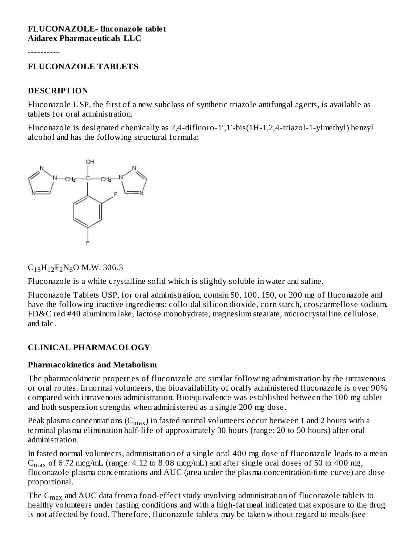#### **FLUCONAZOLE- fluconazole tablet Aidarex Pharmaceuticals LLC**

----------

#### **FLUCONAZOLE TABLETS**

#### **DESCRIPTION**

Fluconazole USP, the first of a new subclass of synthetic triazole antifungal agents, is available as tablets for oral administration.

Fluconazole is designated chemically as 2,4-difluoro-1′,1′-bis(1H-1,2,4-triazol-1-ylmethyl) benzyl alcohol and has the following structural formula:



 $C_{13}H_{12}F_2N_6O$  M.W. 306.3

Fluconazole is a white crystalline solid which is slightly soluble in water and saline.

Fluconazole Tablets USP, for oral administration, contain 50, 100, 150, or 200 mg of fluconazole and have the following inactive ingredients: colloidal silicon dioxide, corn starch, croscarmellose sodium, FD&C red #40 aluminum lake, lactose monohydrate, magnesium stearate, microcrystalline cellulose, and talc.

#### **CLINICAL PHARMACOLOGY**

#### **Pharmacokinetics and Metabolism**

The pharmacokinetic properties of fluconazole are similar following administration by the intravenous or oral routes. In normal volunteers, the bioavailability of orally administered fluconazole is over 90% compared with intravenous administration. Bioequivalence was established between the 100 mg tablet and both suspension strengths when administered as a single 200 mg dose.

Peak plasma concentrations  $(\mathrm{C_{max}})$  in fasted normal volunteers occur between 1 and 2 hours with a terminal plasma elimination half-life of approximately 30 hours (range: 20 to 50 hours) after oral administration.

In fasted normal volunteers, administration of a single oral 400 mg dose of fluconazole leads to a mean  $C_{max}$  of 6.72 mcg/mL (range: 4.12 to 8.08 mcg/mL) and after single oral doses of 50 to 400 mg, fluconazole plasma concentrations and AUC (area under the plasma concentration-time curve) are dose proportional.

The  $\rm{C_{max}}$  and AUC data from a food-effect study involving administration of fluconazole tablets to healthy volunteers under fasting conditions and with a high-fat meal indicated that exposure to the drug is not affected by food. Therefore, fluconazole tablets may be taken without regard to meals (see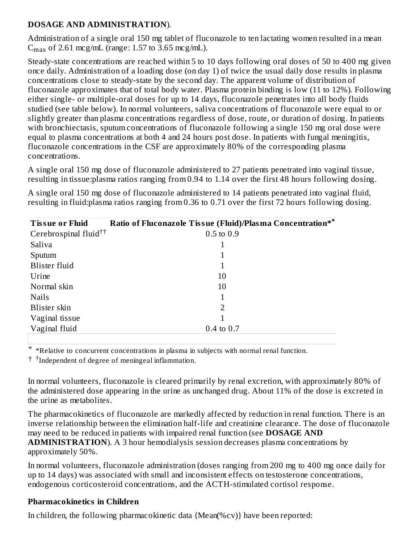#### **DOSAGE AND ADMINISTRATION**).

Administration of a single oral 150 mg tablet of fluconazole to ten lactating women resulted in a mean  $C_{\text{max}}$  of 2.61 mcg/mL (range: 1.57 to 3.65 mcg/mL).

Steady-state concentrations are reached within 5 to 10 days following oral doses of 50 to 400 mg given once daily. Administration of a loading dose (on day 1) of twice the usual daily dose results in plasma concentrations close to steady-state by the second day. The apparent volume of distribution of fluconazole approximates that of total body water. Plasma protein binding is low (11 to 12%). Following either single- or multiple-oral doses for up to 14 days, fluconazole penetrates into all body fluids studied (see table below). In normal volunteers, saliva concentrations of fluconazole were equal to or slightly greater than plasma concentrations regardless of dose, route, or duration of dosing. In patients with bronchiectasis, sputum concentrations of fluconazole following a single 150 mg oral dose were equal to plasma concentrations at both 4 and 24 hours post dose. In patients with fungal meningitis, fluconazole concentrations in the CSF are approximately 80% of the corresponding plasma concentrations.

A single oral 150 mg dose of fluconazole administered to 27 patients penetrated into vaginal tissue, resulting in tissue:plasma ratios ranging from 0.94 to 1.14 over the first 48 hours following dosing.

A single oral 150 mg dose of fluconazole administered to 14 patients penetrated into vaginal fluid, resulting in fluid:plasma ratios ranging from 0.36 to 0.71 over the first 72 hours following dosing.

| <b>Tissue or Fluid</b>            | Ratio of Fluconazole Tissue (Fluid)/Plasma Concentration** |
|-----------------------------------|------------------------------------------------------------|
| Cerebrospinal fluid <sup>††</sup> | $0.5 \text{ to } 0.9$                                      |
| Saliva                            | 1                                                          |
| Sputum                            | 1                                                          |
| Blister fluid                     | 1                                                          |
| Urine                             | 10                                                         |
| Normal skin                       | 10                                                         |
| <b>Nails</b>                      | 1                                                          |
| Blister skin                      | $\mathcal{P}$                                              |
| Vaginal tissue                    | 1                                                          |
| Vaginal fluid                     | $0.4 \text{ to } 0.7$                                      |
|                                   |                                                            |

\* \*Relative to concurrent concentrations in plasma in subjects with normal renal function.

<sup>†</sup> <sup>†</sup>Independent of degree of meningeal inflammation.

In normal volunteers, fluconazole is cleared primarily by renal excretion, with approximately 80% of the administered dose appearing in the urine as unchanged drug. About 11% of the dose is excreted in the urine as metabolites.

The pharmacokinetics of fluconazole are markedly affected by reduction in renal function. There is an inverse relationship between the elimination half-life and creatinine clearance. The dose of fluconazole may need to be reduced in patients with impaired renal function (see **DOSAGE AND ADMINISTRATION**). A 3 hour hemodialysis session decreases plasma concentrations by approximately 50%.

In normal volunteers, fluconazole administration (doses ranging from 200 mg to 400 mg once daily for up to 14 days) was associated with small and inconsistent effects on testosterone concentrations, endogenous corticosteroid concentrations, and the ACTH-stimulated cortisol response.

#### **Pharmacokinetics in Children**

In children, the following pharmacokinetic data {Mean(%cv)} have been reported: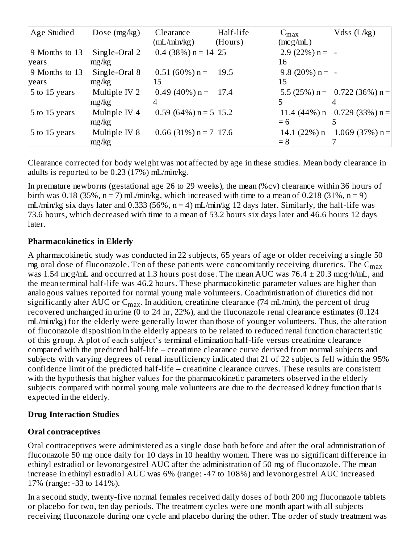| Age Studied    | Dose $(mg/kg)$ | Clearance               | Half-life | $C_{\text{max}}$  | Vdss $(L/kg)$                      |
|----------------|----------------|-------------------------|-----------|-------------------|------------------------------------|
|                |                | (mL/min/kg)             | (Hours)   | (mcg/mL)          |                                    |
| 9 Months to 13 | Single-Oral 2  | $0.4$ (38%) n = 14 25   |           | $2.9$ (22%) n = - |                                    |
| years          | mg/kg          |                         |           | 16                |                                    |
| 9 Months to 13 | Single-Oral 8  | $0.51(60\%)$ n =        | 19.5      | $9.8$ (20%) n = - |                                    |
| years          | mg/kg          | 15                      |           | 15                |                                    |
| 5 to 15 years  | Multiple IV 2  | $0.49(40\%)$ n = 17.4   |           |                   | 5.5 (25%) $n = 0.722$ (36%) $n =$  |
|                | mg/kg          | 4                       |           |                   |                                    |
| 5 to 15 years  | Multiple IV 4  | $0.59$ (64%) n = 5 15.2 |           |                   | 11.4 $(44\%)$ n 0.729 $(33\%)$ n = |
|                | mg/kg          |                         |           | $= 6$             |                                    |
| 5 to 15 years  | Multiple IV 8  | $0.66$ (31%) n = 7 17.6 |           |                   | $14.1(22\%)$ n $1.069(37\%)$ n =   |
|                | mg/kg          |                         |           | $= 8$             |                                    |

Clearance corrected for body weight was not affected by age in these studies. Mean body clearance in adults is reported to be 0.23 (17%) mL/min/kg.

In premature newborns (gestational age 26 to 29 weeks), the mean (%cv) clearance within 36 hours of birth was 0.18 (35%,  $n = 7$ ) mL/min/kg, which increased with time to a mean of 0.218 (31%,  $n = 9$ ) mL/min/kg six days later and 0.333 (56%,  $n = 4$ ) mL/min/kg 12 days later. Similarly, the half-life was 73.6 hours, which decreased with time to a mean of 53.2 hours six days later and 46.6 hours 12 days later.

#### **Pharmacokinetics in Elderly**

A pharmacokinetic study was conducted in 22 subjects, 65 years of age or older receiving a single 50 mg oral dose of fluconazole. Ten of these patients were concomitantly receiving diuretics. The  $\mathsf{C}_{\max}$ was 1.54 mcg/mL and occurred at 1.3 hours post dose. The mean AUC was  $76.4 \pm 20.3$  mcg·h/mL, and the mean terminal half-life was 46.2 hours. These pharmacokinetic parameter values are higher than analogous values reported for normal young male volunteers. Coadministration of diuretics did not significantly alter AUC or  $\mathsf{C}_{\max}$ . In addition, creatinine clearance (74 mL/min), the percent of drug recovered unchanged in urine (0 to 24 hr, 22%), and the fluconazole renal clearance estimates (0.124 mL/min/kg) for the elderly were generally lower than those of younger volunteers. Thus, the alteration of fluconazole disposition in the elderly appears to be related to reduced renal function characteristic of this group. A plot of each subject's terminal elimination half-life versus creatinine clearance compared with the predicted half-life – creatinine clearance curve derived from normal subjects and subjects with varying degrees of renal insufficiency indicated that 21 of 22 subjects fell within the 95% confidence limit of the predicted half-life – creatinine clearance curves. These results are consistent with the hypothesis that higher values for the pharmacokinetic parameters observed in the elderly subjects compared with normal young male volunteers are due to the decreased kidney function that is expected in the elderly.

### **Drug Interaction Studies**

### **Oral contraceptives**

Oral contraceptives were administered as a single dose both before and after the oral administration of fluconazole 50 mg once daily for 10 days in 10 healthy women. There was no significant difference in ethinyl estradiol or levonorgestrel AUC after the administration of 50 mg of fluconazole. The mean increase in ethinyl estradiol AUC was 6% (range: -47 to 108%) and levonorgestrel AUC increased 17% (range: -33 to 141%).

In a second study, twenty-five normal females received daily doses of both 200 mg fluconazole tablets or placebo for two, ten day periods. The treatment cycles were one month apart with all subjects receiving fluconazole during one cycle and placebo during the other. The order of study treatment was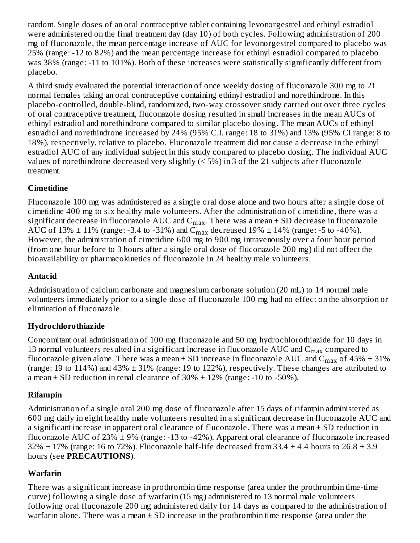random. Single doses of an oral contraceptive tablet containing levonorgestrel and ethinyl estradiol were administered on the final treatment day (day 10) of both cycles. Following administration of 200 mg of fluconazole, the mean percentage increase of AUC for levonorgestrel compared to placebo was 25% (range: -12 to 82%) and the mean percentage increase for ethinyl estradiol compared to placebo was 38% (range: -11 to 101%). Both of these increases were statistically significantly different from placebo.

A third study evaluated the potential interaction of once weekly dosing of fluconazole 300 mg to 21 normal females taking an oral contraceptive containing ethinyl estradiol and norethindrone. In this placebo-controlled, double-blind, randomized, two-way crossover study carried out over three cycles of oral contraceptive treatment, fluconazole dosing resulted in small increases in the mean AUCs of ethinyl estradiol and norethindrone compared to similar placebo dosing. The mean AUCs of ethinyl estradiol and norethindrone increased by 24% (95% C.I. range: 18 to 31%) and 13% (95% CI range: 8 to 18%), respectively, relative to placebo. Fluconazole treatment did not cause a decrease in the ethinyl estradiol AUC of any individual subject in this study compared to placebo dosing. The individual AUC values of norethindrone decreased very slightly (< 5%) in 3 of the 21 subjects after fluconazole treatment.

### **Cimetidine**

Fluconazole 100 mg was administered as a single oral dose alone and two hours after a single dose of cimetidine 400 mg to six healthy male volunteers. After the administration of cimetidine, there was a significant decrease in fluconazole  $\mathop{\rm AUC}\nolimits$  and  $\mathop{\rm C_{max}}\nolimits.$  There was a mean  $\pm$  SD decrease in fluconazole AUC of 13%  $\pm$  11% (range: -3.4 to -31%) and C<sub>max</sub> decreased 19%  $\pm$  14% (range: -5 to -40%). However, the administration of cimetidine 600 mg to 900 mg intravenously over a four hour period (from one hour before to 3 hours after a single oral dose of fluconazole 200 mg) did not affect the bioavailability or pharmacokinetics of fluconazole in 24 healthy male volunteers.

### **Antacid**

Administration of calcium carbonate and magnesium carbonate solution (20 mL) to 14 normal male volunteers immediately prior to a single dose of fluconazole 100 mg had no effect on the absorption or elimination of fluconazole.

### **Hydrochlorothiazide**

Concomitant oral administration of 100 mg fluconazole and 50 mg hydrochlorothiazide for 10 days in 13 normal volunteers resulted in a significant increase in fluconazole  $\rm AUC$  and  $\rm C_{max}$  compared to fluconazole given alone. There was a mean  $\pm$  SD increase in fluconazole AUC and  $\rm{C_{max}}$  of 45%  $\pm$  31% (range: 19 to 114%) and 43% ± 31% (range: 19 to 122%), respectively. These changes are attributed to a mean  $\pm$  SD reduction in renal clearance of 30%  $\pm$  12% (range: -10 to -50%).

# **Rifampin**

Administration of a single oral 200 mg dose of fluconazole after 15 days of rifampin administered as 600 mg daily in eight healthy male volunteers resulted in a significant decrease in fluconazole AUC and a significant increase in apparent oral clearance of fluconazole. There was a mean  $\pm$  SD reduction in fluconazole AUC of 23%  $\pm$  9% (range: -13 to -42%). Apparent oral clearance of fluconazole increased 32%  $\pm$  17% (range: 16 to 72%). Fluconazole half-life decreased from 33.4  $\pm$  4.4 hours to 26.8  $\pm$  3.9 hours (see **PRECAUTIONS**).

# **Warfarin**

There was a significant increase in prothrombin time response (area under the prothrombin time-time curve) following a single dose of warfarin (15 mg) administered to 13 normal male volunteers following oral fluconazole 200 mg administered daily for 14 days as compared to the administration of warfarin alone. There was a mean  $\pm$  SD increase in the prothrombin time response (area under the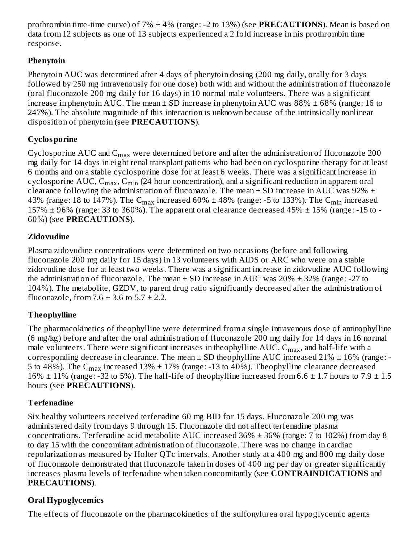prothrombin time-time curve) of 7% ± 4% (range: -2 to 13%) (see **PRECAUTIONS**). Mean is based on data from 12 subjects as one of 13 subjects experienced a 2 fold increase in his prothrombin time response.

# **Phenytoin**

Phenytoin AUC was determined after 4 days of phenytoin dosing (200 mg daily, orally for 3 days followed by 250 mg intravenously for one dose) both with and without the administration of fluconazole (oral fluconazole 200 mg daily for 16 days) in 10 normal male volunteers. There was a significant increase in phenytoin AUC. The mean  $\pm$  SD increase in phenytoin AUC was 88%  $\pm$  68% (range: 16 to 247%). The absolute magnitude of this interaction is unknown because of the intrinsically nonlinear disposition of phenytoin (see **PRECAUTIONS**).

# **Cyclosporine**

Cyclosporine AUC and  $\mathsf{C}_{\max}$  were determined before and after the administration of fluconazole 200 mg daily for 14 days in eight renal transplant patients who had been on cyclosporine therapy for at least 6 months and on a stable cyclosporine dose for at least 6 weeks. There was a significant increase in cyclosporine AUC,  $\mathsf{C_{max}}, \mathsf{C_{min}}$  (24 hour concentration), and a significant reduction in apparent oral clearance following the administration of fluconazole. The mean  $\pm$  SD increase in AUC was 92%  $\pm$ 43% (range: 18 to 147%). The  $\rm{C_{max}}$  increased 60%  $\pm$  48% (range: -5 to 133%). The  $\rm{C_{min}}$  increased 157%  $\pm$  96% (range: 33 to 360%). The apparent oral clearance decreased 45%  $\pm$  15% (range: -15 to -60%) (see **PRECAUTIONS**).

# **Zidovudine**

Plasma zidovudine concentrations were determined on two occasions (before and following fluconazole 200 mg daily for 15 days) in 13 volunteers with AIDS or ARC who were on a stable zidovudine dose for at least two weeks. There was a significant increase in zidovudine AUC following the administration of fluconazole. The mean  $\pm$  SD increase in AUC was 20%  $\pm$  32% (range: -27 to 104%). The metabolite, GZDV, to parent drug ratio significantly decreased after the administration of fluconazole, from  $7.6 \pm 3.6$  to  $5.7 \pm 2.2$ .

# **Theophylline**

The pharmacokinetics of theophylline were determined from a single intravenous dose of aminophylline (6 mg/kg) before and after the oral administration of fluconazole 200 mg daily for 14 days in 16 normal male volunteers. There were significant increases in theophylline  $\mathrm{AUC}, \mathrm{C_{max}}$ , and half-life with a corresponding decrease in clearance. The mean  $\pm$  SD theophylline AUC increased 21%  $\pm$  16% (range: -5 to 48%). The  $\rm{C_{max}}$  increased 13%  $\pm$  17% (range: -13 to 40%). Theophylline clearance decreased 16%  $\pm$  11% (range: -32 to 5%). The half-life of theophylline increased from 6.6  $\pm$  1.7 hours to 7.9  $\pm$  1.5 hours (see **PRECAUTIONS**).

# **Terfenadine**

Six healthy volunteers received terfenadine 60 mg BID for 15 days. Fluconazole 200 mg was administered daily from days 9 through 15. Fluconazole did not affect terfenadine plasma concentrations. Terfenadine acid metabolite AUC increased  $36\% \pm 36\%$  (range: 7 to 102%) from day 8 to day 15 with the concomitant administration of fluconazole. There was no change in cardiac repolarization as measured by Holter QTc intervals. Another study at a 400 mg and 800 mg daily dose of fluconazole demonstrated that fluconazole taken in doses of 400 mg per day or greater significantly increases plasma levels of terfenadine when taken concomitantly (see **CONTRAINDICATIONS** and **PRECAUTIONS**).

# **Oral Hypoglycemics**

The effects of fluconazole on the pharmacokinetics of the sulfonylurea oral hypoglycemic agents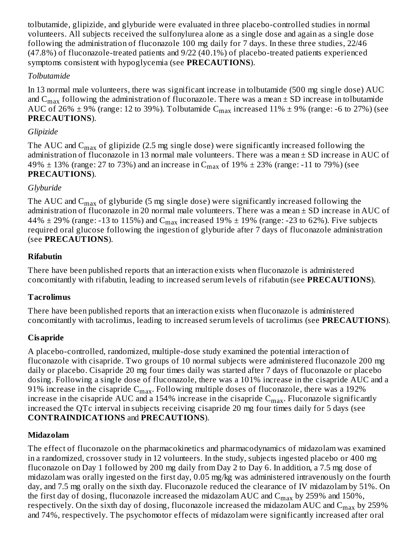tolbutamide, glipizide, and glyburide were evaluated in three placebo-controlled studies in normal volunteers. All subjects received the sulfonylurea alone as a single dose and again as a single dose following the administration of fluconazole 100 mg daily for 7 days. In these three studies, 22/46 (47.8%) of fluconazole-treated patients and 9/22 (40.1%) of placebo-treated patients experienced symptoms consistent with hypoglycemia (see **PRECAUTIONS**).

#### *Tolbutamide*

In 13 normal male volunteers, there was significant increase in tolbutamide (500 mg single dose) AUC and  $\rm C_{max}$  following the administration of fluconazole. There was a mean  $\pm$  SD increase in tolbutamide AUC of 26%  $\pm$  9% (range: 12 to 39%). Tolbutamide  $\rm{C_{max}}$  increased 11%  $\pm$  9% (range: -6 to 27%) (see **PRECAUTIONS**).

#### *Glipizide*

The AUC and  $\rm{C_{max}}$  of glipizide (2.5 mg single dose) were significantly increased following the administration of fluconazole in 13 normal male volunteers. There was a mean ± SD increase in AUC of 49%  $\pm$  13% (range: 27 to 73%) and an increase in C $_{\rm max}$  of 19%  $\pm$  23% (range: -11 to 79%) (see **PRECAUTIONS**).

#### *Glyburide*

The AUC and  $\rm{C_{max}}$  of glyburide (5 mg single dose) were significantly increased following the administration of fluconazole in 20 normal male volunteers. There was a mean  $\pm$  SD increase in AUC of 44%  $\pm$  29% (range: -13 to 115%) and C $_{\rm max}$  increased 19%  $\pm$  19% (range: -23 to 62%). Five subjects required oral glucose following the ingestion of glyburide after 7 days of fluconazole administration (see **PRECAUTIONS**).

#### **Rifabutin**

There have been published reports that an interaction exists when fluconazole is administered concomitantly with rifabutin, leading to increased serum levels of rifabutin (see **PRECAUTIONS**).

### **Tacrolimus**

There have been published reports that an interaction exists when fluconazole is administered concomitantly with tacrolimus, leading to increased serum levels of tacrolimus (see **PRECAUTIONS**).

### **Cisapride**

A placebo-controlled, randomized, multiple-dose study examined the potential interaction of fluconazole with cisapride. Two groups of 10 normal subjects were administered fluconazole 200 mg daily or placebo. Cisapride 20 mg four times daily was started after 7 days of fluconazole or placebo dosing. Following a single dose of fluconazole, there was a 101% increase in the cisapride AUC and a 91% increase in the cisapride  $\rm C_{max}.$  Following multiple doses of fluconazole, there was a 192% increase in the cisapride  $\rm AUC$  and a 154% increase in the cisapride  $\rm C_{max}.$  Fluconazole significantly increased the QTc interval in subjects receiving cisapride 20 mg four times daily for 5 days (see **CONTRAINDICATIONS** and **PRECAUTIONS**).

#### **Midazolam**

The effect of fluconazole on the pharmacokinetics and pharmacodynamics of midazolam was examined in a randomized, crossover study in 12 volunteers. In the study, subjects ingested placebo or 400 mg fluconazole on Day 1 followed by 200 mg daily from Day 2 to Day 6. In addition, a 7.5 mg dose of midazolam was orally ingested on the first day, 0.05 mg/kg was administered intravenously on the fourth day, and 7.5 mg orally on the sixth day. Fluconazole reduced the clearance of IV midazolam by 51%. On the first day of dosing, fluconazole increased the midazolam  $\rm AUC$  and  $\rm C_{max}$  by 259% and 150%, respectively. On the sixth day of dosing, fluconazole increased the midazolam AUC and  $\rm C_{max}$  by 259% and 74%, respectively. The psychomotor effects of midazolam were significantly increased after oral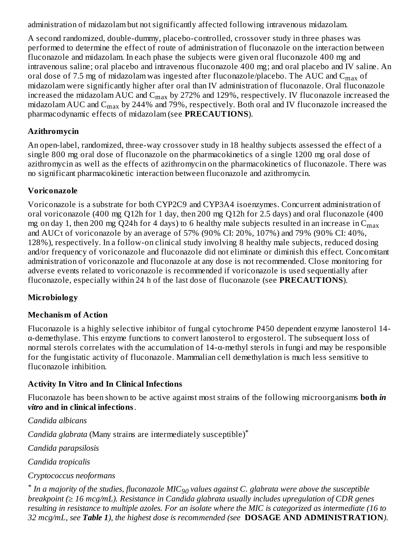administration of midazolam but not significantly affected following intravenous midazolam.

A second randomized, double-dummy, placebo-controlled, crossover study in three phases was performed to determine the effect of route of administration of fluconazole on the interaction between fluconazole and midazolam. In each phase the subjects were given oral fluconazole 400 mg and intravenous saline; oral placebo and intravenous fluconazole 400 mg; and oral placebo and IV saline. An oral dose of 7.5 mg of midazolam was ingested after fluconazole/placebo. The AUC and  $\rm{C_{max}}$  of midazolam were significantly higher after oral than IV administration of fluconazole. Oral fluconazole increased the midazolam AUC and  $\rm C_{max}$  by 272% and 129%, respectively. IV fluconazole increased the midazolam AUC and  $\rm{C_{max}}$  by 244% and 79%, respectively. Both oral and IV fluconazole increased the pharmacodynamic effects of midazolam (see **PRECAUTIONS**).

# **Azithromycin**

An open-label, randomized, three-way crossover study in 18 healthy subjects assessed the effect of a single 800 mg oral dose of fluconazole on the pharmacokinetics of a single 1200 mg oral dose of azithromycin as well as the effects of azithromycin on the pharmacokinetics of fluconazole. There was no significant pharmacokinetic interaction between fluconazole and azithromycin.

# **Voriconazole**

Voriconazole is a substrate for both CYP2C9 and CYP3A4 isoenzymes. Concurrent administration of oral voriconazole (400 mg Q12h for 1 day, then 200 mg Q12h for 2.5 days) and oral fluconazole (400 mg on day 1, then 200 mg Q24h for 4 days) to 6 healthy male subjects resulted in an increase in  $\mathsf{C}_{\max}$ and AUCτ of voriconazole by an average of 57% (90% CI: 20%, 107%) and 79% (90% CI: 40%, 128%), respectively. In a follow-on clinical study involving 8 healthy male subjects, reduced dosing and/or frequency of voriconazole and fluconazole did not eliminate or diminish this effect. Concomitant administration of voriconazole and fluconazole at any dose is not recommended. Close monitoring for adverse events related to voriconazole is recommended if voriconazole is used sequentially after fluconazole, especially within 24 h of the last dose of fluconazole (see **PRECAUTIONS**).

# **Microbiology**

# **Mechanism of Action**

Fluconazole is a highly selective inhibitor of fungal cytochrome P450 dependent enzyme lanosterol 14 α-demethylase. This enzyme functions to convert lanosterol to ergosterol. The subsequent loss of normal sterols correlates with the accumulation of 14-α-methyl sterols in fungi and may be responsible for the fungistatic activity of fluconazole. Mammalian cell demethylation is much less sensitive to fluconazole inhibition.

# **Activity In Vitro and In Clinical Infections**

Fluconazole has been shown to be active against most strains of the following microorganisms **both** *in vitro* **and in clinical infections**.

*Candida albicans*

*Candida glabrata* (Many strains are intermediately susceptible) \*

*Candida parapsilosis*

*Candida tropicalis*

### *Cryptococcus neoformans*

 $^*$  In a majority of the studies, fluconazole MIC $_{90}$  values against C. glabrata were above the susceptible *breakpoint (≥ 16 mcg/mL). Resistance in Candida glabrata usually includes upregulation of CDR genes* resulting in resistance to multiple azoles. For an isolate where the MIC is categorized as intermediate (16 to *32 mcg/mL, see Table 1), the highest dose is recommended (see* **DOSAGE AND ADMINISTRATION***).*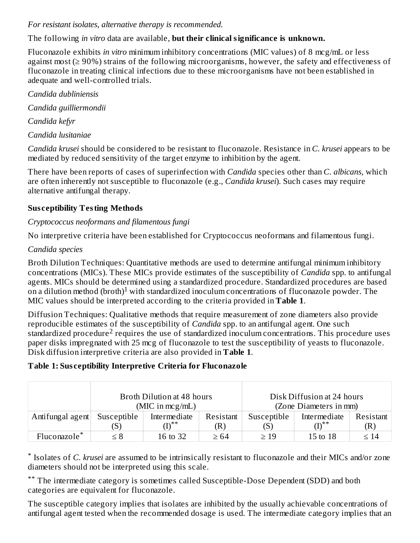#### *For resistant isolates, alternative therapy is recommended.*

#### The following *in vitro* data are available, **but their clinical significance is unknown.**

Fluconazole exhibits *in vitro* minimum inhibitory concentrations (MIC values) of 8 mcg/mL or less against most (≥ 90%) strains of the following microorganisms, however, the safety and effectiveness of fluconazole in treating clinical infections due to these microorganisms have not been established in adequate and well-controlled trials.

*Candida dubliniensis*

*Candida guilliermondii*

*Candida kefyr*

*Candida lusitaniae*

*Candida krusei* should be considered to be resistant to fluconazole. Resistance in *C. krusei* appears to be mediated by reduced sensitivity of the target enzyme to inhibition by the agent.

There have been reports of cases of superinfection with *Candida* species other than *C. albicans,* which are often inherently not susceptible to fluconazole (e.g., *Candida krusei*). Such cases may require alternative antifungal therapy.

# **Sus ceptibility Testing Methods**

# *Cryptococcus neoformans and filamentous fungi*

No interpretive criteria have been established for Cryptococcus neoformans and filamentous fungi.

### *Candida species*

Broth Dilution Techniques: Quantitative methods are used to determine antifungal minimum inhibitory concentrations (MICs). These MICs provide estimates of the susceptibility of *Candida* spp. to antifungal agents. MICs should be determined using a standardized procedure. Standardized procedures are based on a dilution method (broth)<sup>1</sup> with standardized inoculum concentrations of fluconazole powder. The MIC values should be interpreted according to the criteria provided in **Table 1**.

Diffusion Techniques: Qualitative methods that require measurement of zone diameters also provide reproducible estimates of the susceptibility of *Candida* spp. to an antifungal agent. One such standardized procedure<sup>2</sup> requires the use of standardized inoculum concentrations. This procedure uses paper disks impregnated with 25 mcg of fluconazole to test the susceptibility of yeasts to fluconazole. Disk diffusion interpretive criteria are also provided in **Table 1**.

### **Table 1: Sus ceptibility Interpretive Criteria for Fluconazole**

|                          | Broth Dilution at 48 hours |              |           | Disk Diffusion at 24 hours |              |           |
|--------------------------|----------------------------|--------------|-----------|----------------------------|--------------|-----------|
|                          | (MIC in $mcg/mL$ )         |              |           | (Zone Diameters in mm)     |              |           |
| Antifungal agent         | Susceptible                | Intermediate | Resistant | Susceptible                | Intermediate | Resistant |
|                          | (S)                        | ∕т∖**        | R)        | $5^{\circ}$                |              | (R)       |
| Fluconazole <sup>*</sup> | ≤ 8                        | 16 to 32     | $\geq 64$ | $\geq 19$                  | 15 to 18     | $\leq 14$ |

Isolates of *C. krusei* are assumed to be intrinsically resistant to fluconazole and their MICs and/or zone \* diameters should not be interpreted using this scale.

\*\* The intermediate category is sometimes called Susceptible-Dose Dependent (SDD) and both categories are equivalent for fluconazole.

The susceptible category implies that isolates are inhibited by the usually achievable concentrations of antifungal agent tested when the recommended dosage is used. The intermediate category implies that an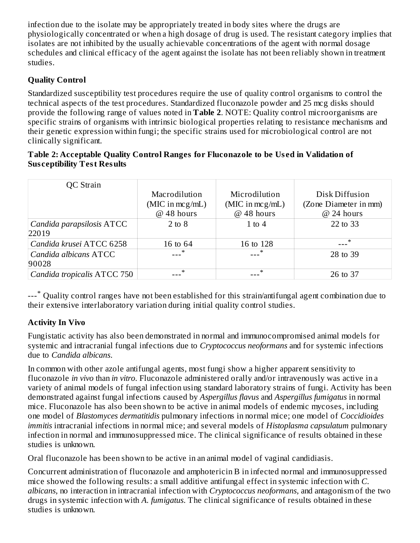infection due to the isolate may be appropriately treated in body sites where the drugs are physiologically concentrated or when a high dosage of drug is used. The resistant category implies that isolates are not inhibited by the usually achievable concentrations of the agent with normal dosage schedules and clinical efficacy of the agent against the isolate has not been reliably shown in treatment studies.

# **Quality Control**

Standardized susceptibility test procedures require the use of quality control organisms to control the technical aspects of the test procedures. Standardized fluconazole powder and 25 mcg disks should provide the following range of values noted in **Table 2**. NOTE: Quality control microorganisms are specific strains of organisms with intrinsic biological properties relating to resistance mechanisms and their genetic expression within fungi; the specific strains used for microbiological control are not clinically significant.

#### **Table 2: Acceptable Quality Control Ranges for Fluconazole to be Us ed in Validation of Sus ceptibility Test Results**

| QC Strain                   |                                 |                                 |                                       |
|-----------------------------|---------------------------------|---------------------------------|---------------------------------------|
|                             | Macrodilution                   | Microdilution                   | Disk Diffusion                        |
|                             | (MIC in mcg/mL)<br>$@$ 48 hours | (MIC in mcg/mL)<br>$@$ 48 hours | (Zone Diameter in mm)<br>$@$ 24 hours |
|                             |                                 |                                 |                                       |
| Candida parapsilosis ATCC   | $2$ to $8$                      | 1 to 4                          | 22 to 33                              |
| 22019                       |                                 |                                 |                                       |
| Candida krusei ATCC 6258    | 16 to 64                        | 16 to 128                       | $\ast$                                |
| Candida albicans ATCC       | $\ast$                          |                                 | 28 to 39                              |
| 90028                       |                                 |                                 |                                       |
| Candida tropicalis ATCC 750 | $\ast$                          | ∗                               | 26 to 37                              |

---\* Quality control ranges have not been established for this strain/antifungal agent combination due to their extensive interlaboratory variation during initial quality control studies.

# **Activity In Vivo**

Fungistatic activity has also been demonstrated in normal and immunocompromised animal models for systemic and intracranial fungal infections due to *Cryptococcus neoformans* and for systemic infections due to *Candida albicans*.

In common with other azole antifungal agents, most fungi show a higher apparent sensitivity to fluconazole *in vivo* than *in vitro*. Fluconazole administered orally and/or intravenously was active in a variety of animal models of fungal infection using standard laboratory strains of fungi. Activity has been demonstrated against fungal infections caused by *Aspergillus flavus* and *Aspergillus fumigatus* in normal mice. Fluconazole has also been shown to be active in animal models of endemic mycoses, including one model of *Blastomyces dermatitidis* pulmonary infections in normal mice; one model of *Coccidioides immitis* intracranial infections in normal mice; and several models of *Histoplasma capsulatum* pulmonary infection in normal and immunosuppressed mice. The clinical significance of results obtained in these studies is unknown.

Oral fluconazole has been shown to be active in an animal model of vaginal candidiasis.

Concurrent administration of fluconazole and amphotericin B in infected normal and immunosuppressed mice showed the following results: a small additive antifungal effect in systemic infection with *C. albicans,* no interaction in intracranial infection with *Cryptococcus neoformans,* and antagonism of the two drugs in systemic infection with *A. fumigatus*. The clinical significance of results obtained in these studies is unknown.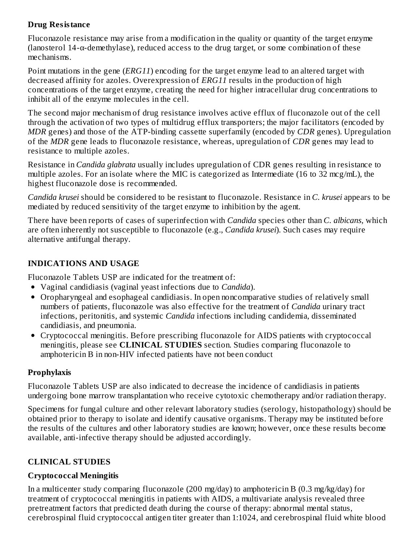### **Drug Resistance**

Fluconazole resistance may arise from a modification in the quality or quantity of the target enzyme (lanosterol  $14-\alpha$ -demethylase), reduced access to the drug target, or some combination of these mechanisms.

Point mutations in the gene (*ERG11*) encoding for the target enzyme lead to an altered target with decreased affinity for azoles. Overexpression of *ERG11* results in the production of high concentrations of the target enzyme, creating the need for higher intracellular drug concentrations to inhibit all of the enzyme molecules in the cell.

The second major mechanism of drug resistance involves active efflux of fluconazole out of the cell through the activation of two types of multidrug efflux transporters; the major facilitators (encoded by *MDR* genes) and those of the ATP-binding cassette superfamily (encoded by *CDR* genes). Upregulation of the *MDR* gene leads to fluconazole resistance, whereas, upregulation of *CDR* genes may lead to resistance to multiple azoles.

Resistance in *Candida glabrata* usually includes upregulation of CDR genes resulting in resistance to multiple azoles. For an isolate where the MIC is categorized as Intermediate (16 to 32 mcg/mL), the highest fluconazole dose is recommended.

*Candida krusei* should be considered to be resistant to fluconazole. Resistance in *C. krusei* appears to be mediated by reduced sensitivity of the target enzyme to inhibition by the agent.

There have been reports of cases of superinfection with *Candida* species other than *C. albicans,* which are often inherently not susceptible to fluconazole (e.g., *Candida krusei*). Such cases may require alternative antifungal therapy.

# **INDICATIONS AND USAGE**

Fluconazole Tablets USP are indicated for the treatment of:

- Vaginal candidiasis (vaginal yeast infections due to *Candida*).
- Oropharyngeal and esophageal candidiasis. In open noncomparative studies of relatively small numbers of patients, fluconazole was also effective for the treatment of *Candida* urinary tract infections, peritonitis, and systemic *Candida* infections including candidemia, disseminated candidiasis, and pneumonia.
- Cryptococcal meningitis. Before prescribing fluconazole for AIDS patients with cryptococcal meningitis, please see **CLINICAL STUDIES** section. Studies comparing fluconazole to amphotericin B in non-HIV infected patients have not been conduct

### **Prophylaxis**

Fluconazole Tablets USP are also indicated to decrease the incidence of candidiasis in patients undergoing bone marrow transplantation who receive cytotoxic chemotherapy and/or radiation therapy.

Specimens for fungal culture and other relevant laboratory studies (serology, histopathology) should be obtained prior to therapy to isolate and identify causative organisms. Therapy may be instituted before the results of the cultures and other laboratory studies are known; however, once these results become available, anti-infective therapy should be adjusted accordingly.

# **CLINICAL STUDIES**

### **Cryptococcal Meningitis**

In a multicenter study comparing fluconazole (200 mg/day) to amphotericin B (0.3 mg/kg/day) for treatment of cryptococcal meningitis in patients with AIDS, a multivariate analysis revealed three pretreatment factors that predicted death during the course of therapy: abnormal mental status, cerebrospinal fluid cryptococcal antigen titer greater than 1:1024, and cerebrospinal fluid white blood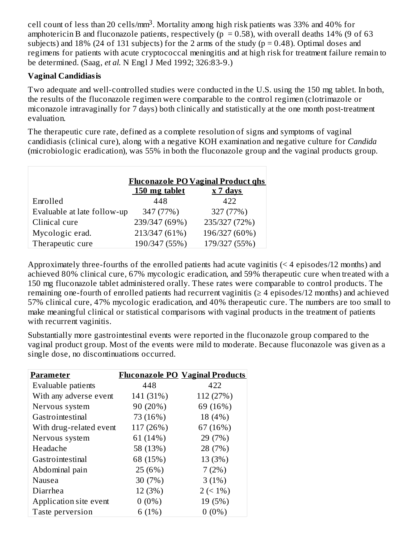cell count of less than 20 cells/mm<sup>3</sup>. Mortality among high risk patients was 33% and 40% for amphotericin B and fluconazole patients, respectively ( $p = 0.58$ ), with overall deaths 14% (9 of 63 subjects) and 18% (24 of 131 subjects) for the 2 arms of the study ( $p = 0.48$ ). Optimal doses and regimens for patients with acute cryptococcal meningitis and at high risk for treatment failure remain to be determined. (Saag, *et al.* N Engl J Med 1992; 326:83-9.)

#### **Vaginal Candidiasis**

Two adequate and well-controlled studies were conducted in the U.S. using the 150 mg tablet. In both, the results of the fluconazole regimen were comparable to the control regimen (clotrimazole or miconazole intravaginally for 7 days) both clinically and statistically at the one month post-treatment evaluation.

The therapeutic cure rate, defined as a complete resolution of signs and symptoms of vaginal candidiasis (clinical cure), along with a negative KOH examination and negative culture for *Candida* (microbiologic eradication), was 55% in both the fluconazole group and the vaginal products group.

| <b>Fluconazole PO Vaginal Product ghs</b> |                             |               |  |  |  |  |
|-------------------------------------------|-----------------------------|---------------|--|--|--|--|
|                                           | 150 mg tablet<br>$x$ 7 days |               |  |  |  |  |
| Enrolled                                  | 448                         | 422           |  |  |  |  |
| Evaluable at late follow-up               | 347 (77%)                   | 327 (77%)     |  |  |  |  |
| Clinical cure                             | 239/347 (69%)               | 235/327 (72%) |  |  |  |  |
| Mycologic erad.                           | 213/347 (61%)               | 196/327 (60%) |  |  |  |  |
| Therapeutic cure                          | 190/347 (55%)               | 179/327 (55%) |  |  |  |  |

Approximately three-fourths of the enrolled patients had acute vaginitis (< 4 episodes/12 months) and achieved 80% clinical cure, 67% mycologic eradication, and 59% therapeutic cure when treated with a 150 mg fluconazole tablet administered orally. These rates were comparable to control products. The remaining one-fourth of enrolled patients had recurrent vaginitis ( $\geq 4$  episodes/12 months) and achieved 57% clinical cure, 47% mycologic eradication, and 40% therapeutic cure. The numbers are too small to make meaningful clinical or statistical comparisons with vaginal products in the treatment of patients with recurrent vaginitis.

Substantially more gastrointestinal events were reported in the fluconazole group compared to the vaginal product group. Most of the events were mild to moderate. Because fluconazole was given as a single dose, no discontinuations occurred.

| Parameter               |           | <b>Fluconazole PO Vaginal Products</b> |
|-------------------------|-----------|----------------------------------------|
| Evaluable patients      | 448       | 422                                    |
| With any adverse event  | 141 (31%) | 112 (27%)                              |
| Nervous system          | 90 (20%)  | 69 (16%)                               |
| Gastrointestinal        | 73 (16%)  | 18 (4%)                                |
| With drug-related event | 117 (26%) | 67 (16%)                               |
| Nervous system          | 61 (14%)  | 29 (7%)                                |
| Headache                | 58 (13%)  | 28 (7%)                                |
| Gastrointestinal        | 68 (15%)  | 13 (3%)                                |
| Abdominal pain          | 25 (6%)   | 7(2%)                                  |
| Nausea                  | 30(7%)    | 3(1%)                                  |
| Diarrhea                | 12 (3%)   | $2 (< 1\%)$                            |
| Application site event  | $0(0\%)$  | 19 (5%)                                |
| Taste perversion        | 6(1%)     | $0(0\%)$                               |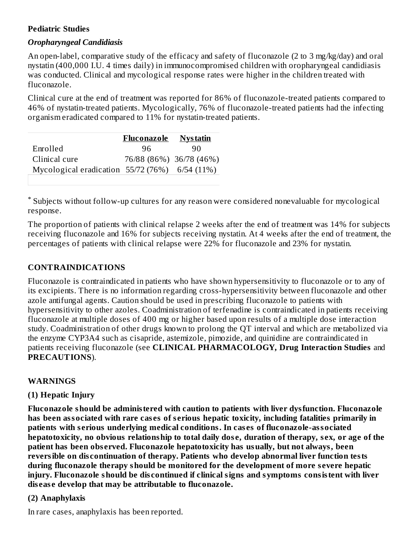#### **Pediatric Studies**

#### *Oropharyngeal Candidiasis*

An open-label, comparative study of the efficacy and safety of fluconazole (2 to 3 mg/kg/day) and oral nystatin (400,000 I.U. 4 times daily) in immunocompromised children with oropharyngeal candidiasis was conducted. Clinical and mycological response rates were higher in the children treated with fluconazole.

Clinical cure at the end of treatment was reported for 86% of fluconazole-treated patients compared to 46% of nystatin-treated patients. Mycologically, 76% of fluconazole-treated patients had the infecting organism eradicated compared to 11% for nystatin-treated patients.

|                                                | <b>Fluconazole</b> | <b>Nystatin</b>         |
|------------------------------------------------|--------------------|-------------------------|
| Enrolled                                       | 96                 | 90                      |
| Clinical cure                                  |                    | 76/88 (86%) 36/78 (46%) |
| Mycological eradication 55/72 (76%) 6/54 (11%) |                    |                         |
|                                                |                    |                         |

Subjects without follow-up cultures for any reason were considered nonevaluable for mycological \*response.

The proportion of patients with clinical relapse 2 weeks after the end of treatment was 14% for subjects receiving fluconazole and 16% for subjects receiving nystatin. At 4 weeks after the end of treatment, the percentages of patients with clinical relapse were 22% for fluconazole and 23% for nystatin.

#### **CONTRAINDICATIONS**

Fluconazole is contraindicated in patients who have shown hypersensitivity to fluconazole or to any of its excipients. There is no information regarding cross-hypersensitivity between fluconazole and other azole antifungal agents. Caution should be used in prescribing fluconazole to patients with hypersensitivity to other azoles. Coadministration of terfenadine is contraindicated in patients receiving fluconazole at multiple doses of 400 mg or higher based upon results of a multiple dose interaction study. Coadministration of other drugs known to prolong the QT interval and which are metabolized via the enzyme CYP3A4 such as cisapride, astemizole, pimozide, and quinidine are contraindicated in patients receiving fluconazole (see **CLINICAL PHARMACOLOGY, Drug Interaction Studies** and **PRECAUTIONS**).

#### **WARNINGS**

#### **(1) Hepatic Injury**

**Fluconazole should be administered with caution to patients with liver dysfunction. Fluconazole has been associated with rare cas es of s erious hepatic toxicity, including fatalities primarily in patients with s erious underlying medical conditions. In cas es of fluconazole-associated** hepatotoxicity, no obvious relationship to total daily dose, duration of therapy, sex, or age of the **patient has been obs erved. Fluconazole hepatotoxicity has usually, but not always, been reversible on dis continuation of therapy. Patients who develop abnormal liver function tests during fluconazole therapy should be monitored for the development of more s evere hepatic injury. Fluconazole should be dis continued if clinical signs and symptoms consistent with liver dis eas e develop that may be attributable to fluconazole.**

#### **(2) Anaphylaxis**

In rare cases, anaphylaxis has been reported.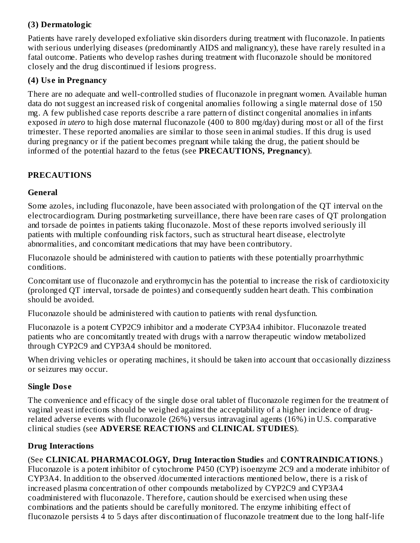# **(3) Dermatologic**

Patients have rarely developed exfoliative skin disorders during treatment with fluconazole. In patients with serious underlying diseases (predominantly AIDS and malignancy), these have rarely resulted in a fatal outcome. Patients who develop rashes during treatment with fluconazole should be monitored closely and the drug discontinued if lesions progress.

### **(4) Us e in Pregnancy**

There are no adequate and well-controlled studies of fluconazole in pregnant women. Available human data do not suggest an increased risk of congenital anomalies following a single maternal dose of 150 mg. A few published case reports describe a rare pattern of distinct congenital anomalies in infants exposed *in utero* to high dose maternal fluconazole (400 to 800 mg/day) during most or all of the first trimester. These reported anomalies are similar to those seen in animal studies. If this drug is used during pregnancy or if the patient becomes pregnant while taking the drug, the patient should be informed of the potential hazard to the fetus (see **PRECAUTIONS, Pregnancy**).

### **PRECAUTIONS**

### **General**

Some azoles, including fluconazole, have been associated with prolongation of the QT interval on the electrocardiogram. During postmarketing surveillance, there have been rare cases of QT prolongation and torsade de pointes in patients taking fluconazole. Most of these reports involved seriously ill patients with multiple confounding risk factors, such as structural heart disease, electrolyte abnormalities, and concomitant medications that may have been contributory.

Fluconazole should be administered with caution to patients with these potentially proarrhythmic conditions.

Concomitant use of fluconazole and erythromycin has the potential to increase the risk of cardiotoxicity (prolonged QT interval, torsade de pointes) and consequently sudden heart death. This combination should be avoided.

Fluconazole should be administered with caution to patients with renal dysfunction.

Fluconazole is a potent CYP2C9 inhibitor and a moderate CYP3A4 inhibitor. Fluconazole treated patients who are concomitantly treated with drugs with a narrow therapeutic window metabolized through CYP2C9 and CYP3A4 should be monitored.

When driving vehicles or operating machines, it should be taken into account that occasionally dizziness or seizures may occur.

### **Single Dos e**

The convenience and efficacy of the single dose oral tablet of fluconazole regimen for the treatment of vaginal yeast infections should be weighed against the acceptability of a higher incidence of drugrelated adverse events with fluconazole (26%) versus intravaginal agents (16%) in U.S. comparative clinical studies (see **ADVERSE REACTIONS** and **CLINICAL STUDIES**).

### **Drug Interactions**

(See **CLINICAL PHARMACOLOGY, Drug Interaction Studies** and **CONTRAINDICATIONS**.) Fluconazole is a potent inhibitor of cytochrome P450 (CYP) isoenzyme 2C9 and a moderate inhibitor of CYP3A4. In addition to the observed /documented interactions mentioned below, there is a risk of increased plasma concentration of other compounds metabolized by CYP2C9 and CYP3A4 coadministered with fluconazole. Therefore, caution should be exercised when using these combinations and the patients should be carefully monitored. The enzyme inhibiting effect of fluconazole persists 4 to 5 days after discontinuation of fluconazole treatment due to the long half-life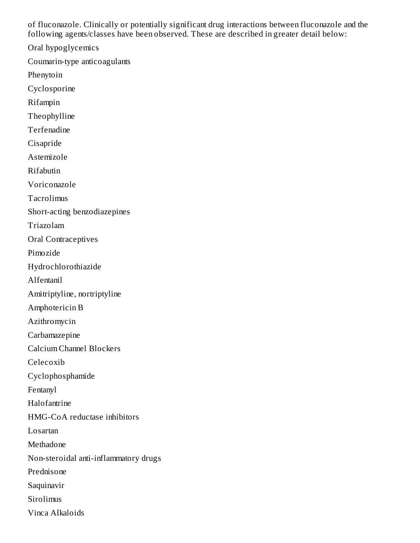of fluconazole. Clinically or potentially significant drug interactions between fluconazole and the following agents/classes have been observed. These are described in greater detail below:

Oral hypoglycemics

Coumarin-type anticoagulants

Phenytoin

Cyclosporine

Rifampin

Theophylline

Terfenadine

Cisapride

Astemizole

Rifabutin

Voriconazole

Tacrolimus

Short-acting benzodiazepines

Triazolam

Oral Contraceptives

Pimozide

Hydrochlorothiazide

Alfentanil

Amitriptyline, nortriptyline

Amphotericin B

Azithromycin

Carbamazepine

Calcium Channel Blockers

Celecoxib

Cyclophosphamide

Fentanyl

Halofantrine

HMG-CoA reductase inhibitors

Losartan

Methadone

Non-steroidal anti-inflammatory drugs

Prednisone

Saquinavir

Sirolimus

Vinca Alkaloids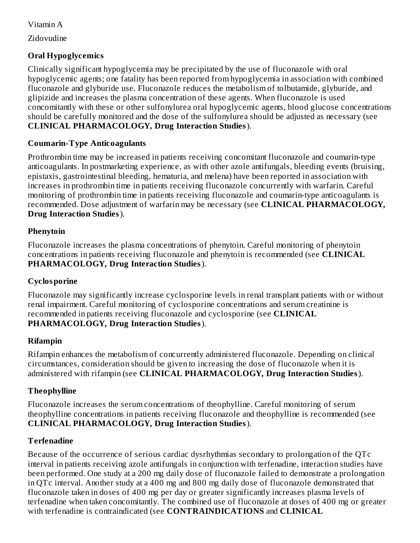Vitamin A

Zidovudine

### **Oral Hypoglycemics**

Clinically significant hypoglycemia may be precipitated by the use of fluconazole with oral hypoglycemic agents; one fatality has been reported from hypoglycemia in association with combined fluconazole and glyburide use. Fluconazole reduces the metabolism of tolbutamide, glyburide, and glipizide and increases the plasma concentration of these agents. When fluconazole is used concomitantly with these or other sulfonylurea oral hypoglycemic agents, blood glucose concentrations should be carefully monitored and the dose of the sulfonylurea should be adjusted as necessary (see **CLINICAL PHARMACOLOGY, Drug Interaction Studies**).

### **Coumarin-Type Anticoagulants**

Prothrombin time may be increased in patients receiving concomitant fluconazole and coumarin-type anticoagulants. In postmarketing experience, as with other azole antifungals, bleeding events (bruising, epistaxis, gastrointestinal bleeding, hematuria, and melena) have been reported in association with increases in prothrombin time in patients receiving fluconazole concurrently with warfarin. Careful monitoring of prothrombin time in patients receiving fluconazole and coumarin-type anticoagulants is recommended. Dose adjustment of warfarin may be necessary (see **CLINICAL PHARMACOLOGY, Drug Interaction Studies**).

#### **Phenytoin**

Fluconazole increases the plasma concentrations of phenytoin. Careful monitoring of phenytoin concentrations in patients receiving fluconazole and phenytoin is recommended (see **CLINICAL PHARMACOLOGY, Drug Interaction Studies**).

#### **Cyclosporine**

Fluconazole may significantly increase cyclosporine levels in renal transplant patients with or without renal impairment. Careful monitoring of cyclosporine concentrations and serum creatinine is recommended in patients receiving fluconazole and cyclosporine (see **CLINICAL PHARMACOLOGY, Drug Interaction Studies**).

### **Rifampin**

Rifampin enhances the metabolism of concurrently administered fluconazole. Depending on clinical circumstances, consideration should be given to increasing the dose of fluconazole when it is administered with rifampin (see **CLINICAL PHARMACOLOGY, Drug Interaction Studies**).

#### **Theophylline**

Fluconazole increases the serum concentrations of theophylline. Careful monitoring of serum theophylline concentrations in patients receiving fluconazole and theophylline is recommended (see **CLINICAL PHARMACOLOGY, Drug Interaction Studies**).

#### **Terfenadine**

Because of the occurrence of serious cardiac dysrhythmias secondary to prolongation of the QTc interval in patients receiving azole antifungals in conjunction with terfenadine, interaction studies have been performed. One study at a 200 mg daily dose of fluconazole failed to demonstrate a prolongation in QTc interval. Another study at a 400 mg and 800 mg daily dose of fluconazole demonstrated that fluconazole taken in doses of 400 mg per day or greater significantly increases plasma levels of terfenadine when taken concomitantly. The combined use of fluconazole at doses of 400 mg or greater with terfenadine is contraindicated (see **CONTRAINDICATIONS** and **CLINICAL**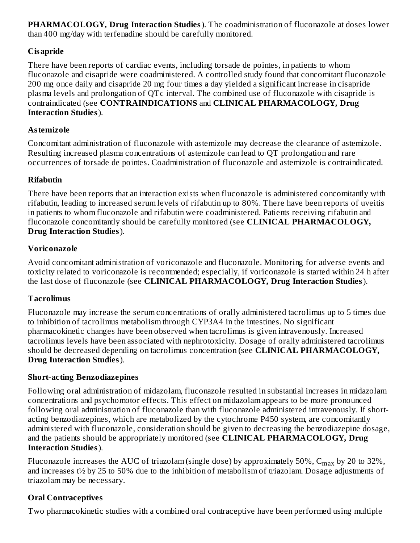**PHARMACOLOGY, Drug Interaction Studies**). The coadministration of fluconazole at doses lower than 400 mg/day with terfenadine should be carefully monitored.

# **Cisapride**

There have been reports of cardiac events, including torsade de pointes, in patients to whom fluconazole and cisapride were coadministered. A controlled study found that concomitant fluconazole 200 mg once daily and cisapride 20 mg four times a day yielded a significant increase in cisapride plasma levels and prolongation of QTc interval. The combined use of fluconazole with cisapride is contraindicated (see **CONTRAINDICATIONS** and **CLINICAL PHARMACOLOGY, Drug Interaction Studies**).

# **Astemizole**

Concomitant administration of fluconazole with astemizole may decrease the clearance of astemizole. Resulting increased plasma concentrations of astemizole can lead to QT prolongation and rare occurrences of torsade de pointes. Coadministration of fluconazole and astemizole is contraindicated.

# **Rifabutin**

There have been reports that an interaction exists when fluconazole is administered concomitantly with rifabutin, leading to increased serum levels of rifabutin up to 80%. There have been reports of uveitis in patients to whom fluconazole and rifabutin were coadministered. Patients receiving rifabutin and fluconazole concomitantly should be carefully monitored (see **CLINICAL PHARMACOLOGY, Drug Interaction Studies**).

# **Voriconazole**

Avoid concomitant administration of voriconazole and fluconazole. Monitoring for adverse events and toxicity related to voriconazole is recommended; especially, if voriconazole is started within 24 h after the last dose of fluconazole (see **CLINICAL PHARMACOLOGY, Drug Interaction Studies**).

### **Tacrolimus**

Fluconazole may increase the serum concentrations of orally administered tacrolimus up to 5 times due to inhibition of tacrolimus metabolism through CYP3A4 in the intestines. No significant pharmacokinetic changes have been observed when tacrolimus is given intravenously. Increased tacrolimus levels have been associated with nephrotoxicity. Dosage of orally administered tacrolimus should be decreased depending on tacrolimus concentration (see **CLINICAL PHARMACOLOGY, Drug Interaction Studies**).

### **Short-acting Benzodiazepines**

Following oral administration of midazolam, fluconazole resulted in substantial increases in midazolam concentrations and psychomotor effects. This effect on midazolam appears to be more pronounced following oral administration of fluconazole than with fluconazole administered intravenously. If shortacting benzodiazepines, which are metabolized by the cytochrome P450 system, are concomitantly administered with fluconazole, consideration should be given to decreasing the benzodiazepine dosage, and the patients should be appropriately monitored (see **CLINICAL PHARMACOLOGY, Drug Interaction Studies**).

Fluconazole increases the AUC of triazolam (single dose) by approximately 50%,  $\rm{C_{max}}$  by 20 to 32%, and increases t½ by 25 to 50% due to the inhibition of metabolism of triazolam. Dosage adjustments of triazolam may be necessary.

# **Oral Contraceptives**

Two pharmacokinetic studies with a combined oral contraceptive have been performed using multiple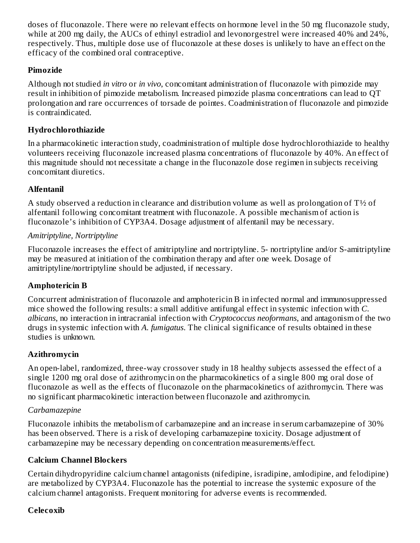doses of fluconazole. There were no relevant effects on hormone level in the 50 mg fluconazole study, while at 200 mg daily, the AUCs of ethinyl estradiol and levonorgestrel were increased 40% and 24%, respectively. Thus, multiple dose use of fluconazole at these doses is unlikely to have an effect on the efficacy of the combined oral contraceptive.

### **Pimozide**

Although not studied *in vitro* or *in vivo*, concomitant administration of fluconazole with pimozide may result in inhibition of pimozide metabolism. Increased pimozide plasma concentrations can lead to QT prolongation and rare occurrences of torsade de pointes. Coadministration of fluconazole and pimozide is contraindicated.

### **Hydrochlorothiazide**

In a pharmacokinetic interaction study, coadministration of multiple dose hydrochlorothiazide to healthy volunteers receiving fluconazole increased plasma concentrations of fluconazole by 40%. An effect of this magnitude should not necessitate a change in the fluconazole dose regimen in subjects receiving concomitant diuretics.

# **Alfentanil**

A study observed a reduction in clearance and distribution volume as well as prolongation of  $T\frac{1}{2}$  of alfentanil following concomitant treatment with fluconazole. A possible mechanism of action is fluconazole's inhibition of CYP3A4. Dosage adjustment of alfentanil may be necessary.

### *Amitriptyline, Nortriptyline*

Fluconazole increases the effect of amitriptyline and nortriptyline. 5- nortriptyline and/or S-amitriptyline may be measured at initiation of the combination therapy and after one week. Dosage of amitriptyline/nortriptyline should be adjusted, if necessary.

### **Amphotericin B**

Concurrent administration of fluconazole and amphotericin B in infected normal and immunosuppressed mice showed the following results: a small additive antifungal effect in systemic infection with *C. albicans*, no interaction in intracranial infection with *Cryptococcus neoformans*, and antagonism of the two drugs in systemic infection with *A. fumigatus*. The clinical significance of results obtained in these studies is unknown.

### **Azithromycin**

An open-label, randomized, three-way crossover study in 18 healthy subjects assessed the effect of a single 1200 mg oral dose of azithromycin on the pharmacokinetics of a single 800 mg oral dose of fluconazole as well as the effects of fluconazole on the pharmacokinetics of azithromycin. There was no significant pharmacokinetic interaction between fluconazole and azithromycin.

### *Carbamazepine*

Fluconazole inhibits the metabolism of carbamazepine and an increase in serum carbamazepine of 30% has been observed. There is a risk of developing carbamazepine toxicity. Dosage adjustment of carbamazepine may be necessary depending on concentration measurements/effect.

### **Calcium Channel Blockers**

Certain dihydropyridine calcium channel antagonists (nifedipine, isradipine, amlodipine, and felodipine) are metabolized by CYP3A4. Fluconazole has the potential to increase the systemic exposure of the calcium channel antagonists. Frequent monitoring for adverse events is recommended.

### **Celecoxib**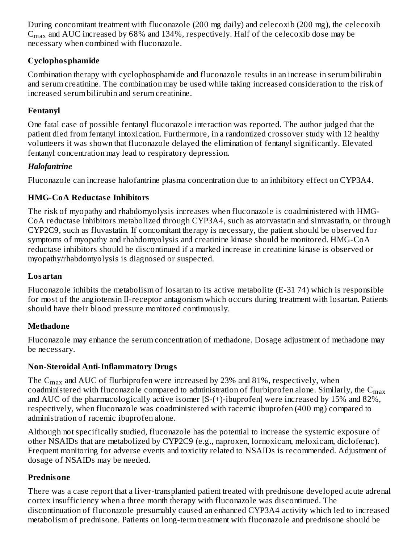During concomitant treatment with fluconazole (200 mg daily) and celecoxib (200 mg), the celecoxib  $\rm{C_{max}}$  and AUC increased by 68% and 134%, respectively. Half of the celecoxib dose may be necessary when combined with fluconazole.

# **Cyclophosphamide**

Combination therapy with cyclophosphamide and fluconazole results in an increase in serum bilirubin and serum creatinine. The combination may be used while taking increased consideration to the risk of increased serum bilirubin and serum creatinine.

# **Fentanyl**

One fatal case of possible fentanyl fluconazole interaction was reported. The author judged that the patient died from fentanyl intoxication. Furthermore, in a randomized crossover study with 12 healthy volunteers it was shown that fluconazole delayed the elimination of fentanyl significantly. Elevated fentanyl concentration may lead to respiratory depression.

### *Halofantrine*

Fluconazole can increase halofantrine plasma concentration due to an inhibitory effect on CYP3A4.

# **HMG-CoA Reductas e Inhibitors**

The risk of myopathy and rhabdomyolysis increases when fluconazole is coadministered with HMG-CoA reductase inhibitors metabolized through CYP3A4, such as atorvastatin and simvastatin, or through CYP2C9, such as fluvastatin. If concomitant therapy is necessary, the patient should be observed for symptoms of myopathy and rhabdomyolysis and creatinine kinase should be monitored. HMG-CoA reductase inhibitors should be discontinued if a marked increase in creatinine kinase is observed or myopathy/rhabdomyolysis is diagnosed or suspected.

### **Losartan**

Fluconazole inhibits the metabolism of losartan to its active metabolite (E-31 74) which is responsible for most of the angiotensin Il-receptor antagonism which occurs during treatment with losartan. Patients should have their blood pressure monitored continuously.

### **Methadone**

Fluconazole may enhance the serum concentration of methadone. Dosage adjustment of methadone may be necessary.

### **Non-Steroidal Anti-Inflammatory Drugs**

The  $\rm{C_{max}}$  and AUC of flurbiprofen were increased by 23% and 81%, respectively, when coadministered with fluconazole compared to administration of flurbiprofen alone. Similarly, the  $\mathsf{C}_{\mathsf{max}}$ and AUC of the pharmacologically active isomer [S-(+)-ibuprofen] were increased by 15% and 82%, respectively, when fluconazole was coadministered with racemic ibuprofen (400 mg) compared to administration of racemic ibuprofen alone.

Although not specifically studied, fluconazole has the potential to increase the systemic exposure of other NSAIDs that are metabolized by CYP2C9 (e.g., naproxen, lornoxicam, meloxicam, diclofenac). Frequent monitoring for adverse events and toxicity related to NSAIDs is recommended. Adjustment of dosage of NSAIDs may be needed.

# **Prednisone**

There was a case report that a liver-transplanted patient treated with prednisone developed acute adrenal cortex insufficiency when a three month therapy with fluconazole was discontinued. The discontinuation of fluconazole presumably caused an enhanced CYP3A4 activity which led to increased metabolism of prednisone. Patients on long-term treatment with fluconazole and prednisone should be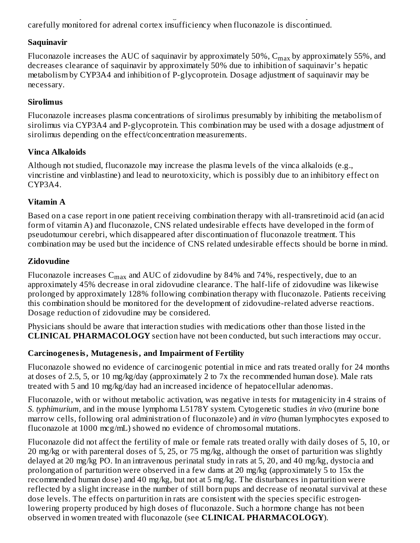metabolism of prednisone. Patients on long-term treatment with fluconazole and prednisone should be carefully monitored for adrenal cortex insufficiency when fluconazole is discontinued.

### **Saquinavir**

Fluconazole increases the AUC of saquinavir by approximately 50%,  $\rm{C_{max}}$  by approximately 55%, and decreases clearance of saquinavir by approximately 50% due to inhibition of saquinavir's hepatic metabolism by CYP3A4 and inhibition of P-glycoprotein. Dosage adjustment of saquinavir may be necessary.

### **Sirolimus**

Fluconazole increases plasma concentrations of sirolimus presumably by inhibiting the metabolism of sirolimus via CYP3A4 and P-glycoprotein. This combination may be used with a dosage adjustment of sirolimus depending on the effect/concentration measurements.

# **Vinca Alkaloids**

Although not studied, fluconazole may increase the plasma levels of the vinca alkaloids (e.g., vincristine and vinblastine) and lead to neurotoxicity, which is possibly due to an inhibitory effect on CYP3A4.

# **Vitamin A**

Based on a case report in one patient receiving combination therapy with all-transretinoid acid (an acid form of vitamin A) and fluconazole, CNS related undesirable effects have developed in the form of pseudotumour cerebri, which disappeared after discontinuation of fluconazole treatment. This combination may be used but the incidence of CNS related undesirable effects should be borne in mind.

# **Zidovudine**

Fluconazole increases  $\rm{C_{max}}$  and AUC of zidovudine by 84% and 74%, respectively, due to an approximately 45% decrease in oral zidovudine clearance. The half-life of zidovudine was likewise prolonged by approximately 128% following combination therapy with fluconazole. Patients receiving this combination should be monitored for the development of zidovudine-related adverse reactions. Dosage reduction of zidovudine may be considered.

Physicians should be aware that interaction studies with medications other than those listed in the **CLINICAL PHARMACOLOGY** section have not been conducted, but such interactions may occur.

# **Carcinogenesis, Mutagenesis, and Impairment of Fertility**

Fluconazole showed no evidence of carcinogenic potential in mice and rats treated orally for 24 months at doses of 2.5, 5, or 10 mg/kg/day (approximately 2 to 7x the recommended human dose). Male rats treated with 5 and 10 mg/kg/day had an increased incidence of hepatocellular adenomas.

Fluconazole, with or without metabolic activation, was negative in tests for mutagenicity in 4 strains of *S. typhimurium*, and in the mouse lymphoma L5178Y system. Cytogenetic studies *in vivo* (murine bone marrow cells, following oral administration of fluconazole) and *in vitro* (human lymphocytes exposed to fluconazole at 1000 mcg/mL) showed no evidence of chromosomal mutations.

Fluconazole did not affect the fertility of male or female rats treated orally with daily doses of 5, 10, or 20 mg/kg or with parenteral doses of 5, 25, or 75 mg/kg, although the onset of parturition was slightly delayed at 20 mg/kg PO. In an intravenous perinatal study in rats at 5, 20, and 40 mg/kg, dystocia and prolongation of parturition were observed in a few dams at 20 mg/kg (approximately 5 to 15x the recommended human dose) and 40 mg/kg, but not at 5 mg/kg. The disturbances in parturition were reflected by a slight increase in the number of still born pups and decrease of neonatal survival at these dose levels. The effects on parturition in rats are consistent with the species specific estrogenlowering property produced by high doses of fluconazole. Such a hormone change has not been observed in women treated with fluconazole (see **CLINICAL PHARMACOLOGY**).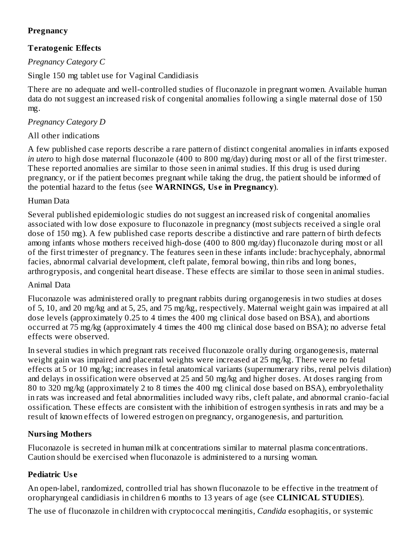### **Pregnancy**

# **Teratogenic Effects**

# *Pregnancy Category C*

Single 150 mg tablet use for Vaginal Candidiasis

There are no adequate and well-controlled studies of fluconazole in pregnant women. Available human data do not suggest an increased risk of congenital anomalies following a single maternal dose of 150 mg.

# *Pregnancy Category D*

# All other indications

A few published case reports describe a rare pattern of distinct congenital anomalies in infants exposed *in utero* to high dose maternal fluconazole (400 to 800 mg/day) during most or all of the first trimester. These reported anomalies are similar to those seen in animal studies. If this drug is used during pregnancy, or if the patient becomes pregnant while taking the drug, the patient should be informed of the potential hazard to the fetus (see **WARNINGS, Us e in Pregnancy**).

# Human Data

Several published epidemiologic studies do not suggest an increased risk of congenital anomalies associated with low dose exposure to fluconazole in pregnancy (most subjects received a single oral dose of 150 mg). A few published case reports describe a distinctive and rare pattern of birth defects among infants whose mothers received high-dose (400 to 800 mg/day) fluconazole during most or all of the first trimester of pregnancy. The features seen in these infants include: brachycephaly, abnormal facies, abnormal calvarial development, cleft palate, femoral bowing, thin ribs and long bones, arthrogryposis, and congenital heart disease. These effects are similar to those seen in animal studies.

# Animal Data

Fluconazole was administered orally to pregnant rabbits during organogenesis in two studies at doses of 5, 10, and 20 mg/kg and at 5, 25, and 75 mg/kg, respectively. Maternal weight gain was impaired at all dose levels (approximately 0.25 to 4 times the 400 mg clinical dose based on BSA), and abortions occurred at 75 mg/kg (approximately 4 times the 400 mg clinical dose based on BSA); no adverse fetal effects were observed.

In several studies in which pregnant rats received fluconazole orally during organogenesis, maternal weight gain was impaired and placental weights were increased at 25 mg/kg. There were no fetal effects at 5 or 10 mg/kg; increases in fetal anatomical variants (supernumerary ribs, renal pelvis dilation) and delays in ossification were observed at 25 and 50 mg/kg and higher doses. At doses ranging from 80 to 320 mg/kg (approximately 2 to 8 times the 400 mg clinical dose based on BSA), embryolethality in rats was increased and fetal abnormalities included wavy ribs, cleft palate, and abnormal cranio-facial ossification. These effects are consistent with the inhibition of estrogen synthesis in rats and may be a result of known effects of lowered estrogen on pregnancy, organogenesis, and parturition.

# **Nursing Mothers**

Fluconazole is secreted in human milk at concentrations similar to maternal plasma concentrations. Caution should be exercised when fluconazole is administered to a nursing woman.

# **Pediatric Us e**

An open-label, randomized, controlled trial has shown fluconazole to be effective in the treatment of oropharyngeal candidiasis in children 6 months to 13 years of age (see **CLINICAL STUDIES**).

The use of fluconazole in children with cryptococcal meningitis, *Candida* esophagitis, or systemic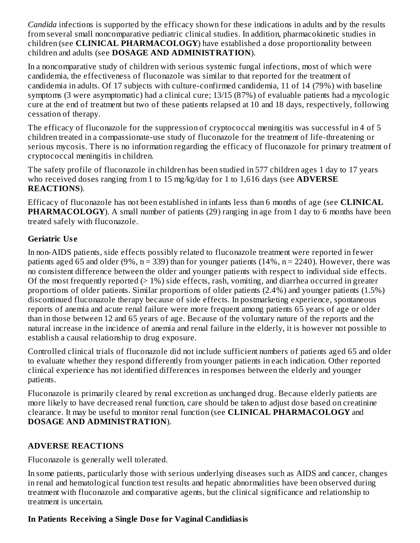*Candida* infections is supported by the efficacy shown for these indications in adults and by the results from several small noncomparative pediatric clinical studies. In addition, pharmacokinetic studies in children (see **CLINICAL PHARMACOLOGY**) have established a dose proportionality between children and adults (see **DOSAGE AND ADMINISTRATION**).

In a noncomparative study of children with serious systemic fungal infections, most of which were candidemia, the effectiveness of fluconazole was similar to that reported for the treatment of candidemia in adults. Of 17 subjects with culture-confirmed candidemia, 11 of 14 (79%) with baseline symptoms (3 were asymptomatic) had a clinical cure; 13/15 (87%) of evaluable patients had a mycologic cure at the end of treatment but two of these patients relapsed at 10 and 18 days, respectively, following cessation of therapy.

The efficacy of fluconazole for the suppression of cryptococcal meningitis was successful in 4 of 5 children treated in a compassionate-use study of fluconazole for the treatment of life-threatening or serious mycosis. There is no information regarding the efficacy of fluconazole for primary treatment of cryptococcal meningitis in children.

The safety profile of fluconazole in children has been studied in 577 children ages 1 day to 17 years who received doses ranging from 1 to 15 mg/kg/day for 1 to 1,616 days (see **ADVERSE REACTIONS**).

Efficacy of fluconazole has not been established in infants less than 6 months of age (see **CLINICAL PHARMACOLOGY**). A small number of patients (29) ranging in age from 1 day to 6 months have been treated safely with fluconazole.

#### **Geriatric Us e**

In non-AIDS patients, side effects possibly related to fluconazole treatment were reported in fewer patients aged 65 and older (9%,  $n = 339$ ) than for younger patients (14%,  $n = 2240$ ). However, there was no consistent difference between the older and younger patients with respect to individual side effects. Of the most frequently reported  $(> 1\%)$  side effects, rash, vomiting, and diarrhea occurred in greater proportions of older patients. Similar proportions of older patients (2.4%) and younger patients (1.5%) discontinued fluconazole therapy because of side effects. In postmarketing experience, spontaneous reports of anemia and acute renal failure were more frequent among patients 65 years of age or older than in those between 12 and 65 years of age. Because of the voluntary nature of the reports and the natural increase in the incidence of anemia and renal failure in the elderly, it is however not possible to establish a causal relationship to drug exposure.

Controlled clinical trials of fluconazole did not include sufficient numbers of patients aged 65 and older to evaluate whether they respond differently from younger patients in each indication. Other reported clinical experience has not identified differences in responses between the elderly and younger patients.

Fluconazole is primarily cleared by renal excretion as unchanged drug. Because elderly patients are more likely to have decreased renal function, care should be taken to adjust dose based on creatinine clearance. It may be useful to monitor renal function (see **CLINICAL PHARMACOLOGY** and **DOSAGE AND ADMINISTRATION**).

#### **ADVERSE REACTIONS**

Fluconazole is generally well tolerated.

In some patients, particularly those with serious underlying diseases such as AIDS and cancer, changes in renal and hematological function test results and hepatic abnormalities have been observed during treatment with fluconazole and comparative agents, but the clinical significance and relationship to treatment is uncertain.

### **In Patients Receiving a Single Dos e for Vaginal Candidiasis**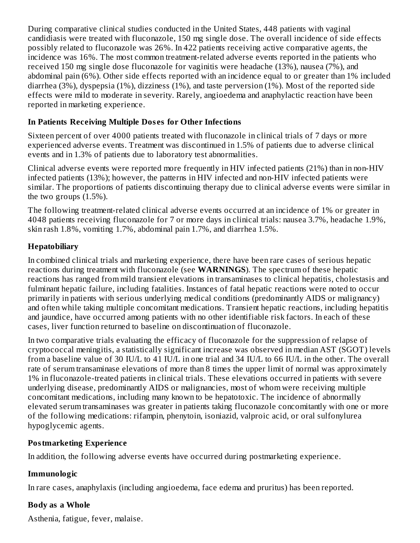During comparative clinical studies conducted in the United States, 448 patients with vaginal candidiasis were treated with fluconazole, 150 mg single dose. The overall incidence of side effects possibly related to fluconazole was 26%. In 422 patients receiving active comparative agents, the incidence was 16%. The most common treatment-related adverse events reported in the patients who received 150 mg single dose fluconazole for vaginitis were headache (13%), nausea (7%), and abdominal pain (6%). Other side effects reported with an incidence equal to or greater than 1% included diarrhea (3%), dyspepsia (1%), dizziness (1%), and taste perversion (1%). Most of the reported side effects were mild to moderate in severity. Rarely, angioedema and anaphylactic reaction have been reported in marketing experience.

### **In Patients Receiving Multiple Dos es for Other Infections**

Sixteen percent of over 4000 patients treated with fluconazole in clinical trials of 7 days or more experienced adverse events. Treatment was discontinued in 1.5% of patients due to adverse clinical events and in 1.3% of patients due to laboratory test abnormalities.

Clinical adverse events were reported more frequently in HIV infected patients (21%) than in non-HIV infected patients (13%); however, the patterns in HIV infected and non-HIV infected patients were similar. The proportions of patients discontinuing therapy due to clinical adverse events were similar in the two groups (1.5%).

The following treatment-related clinical adverse events occurred at an incidence of 1% or greater in 4048 patients receiving fluconazole for 7 or more days in clinical trials: nausea 3.7%, headache 1.9%, skin rash 1.8%, vomiting 1.7%, abdominal pain 1.7%, and diarrhea 1.5%.

### **Hepatobiliary**

In combined clinical trials and marketing experience, there have been rare cases of serious hepatic reactions during treatment with fluconazole (see **WARNINGS**). The spectrum of these hepatic reactions has ranged from mild transient elevations in transaminases to clinical hepatitis, cholestasis and fulminant hepatic failure, including fatalities. Instances of fatal hepatic reactions were noted to occur primarily in patients with serious underlying medical conditions (predominantly AIDS or malignancy) and often while taking multiple concomitant medications. Transient hepatic reactions, including hepatitis and jaundice, have occurred among patients with no other identifiable risk factors. In each of these cases, liver function returned to baseline on discontinuation of fluconazole.

In two comparative trials evaluating the efficacy of fluconazole for the suppression of relapse of cryptococcal meningitis, a statistically significant increase was observed in median AST (SGOT) levels from a baseline value of 30 IU/L to 41 IU/L in one trial and 34 IU/L to 66 IU/L in the other. The overall rate of serum transaminase elevations of more than 8 times the upper limit of normal was approximately 1% in fluconazole-treated patients in clinical trials. These elevations occurred in patients with severe underlying disease, predominantly AIDS or malignancies, most of whom were receiving multiple concomitant medications, including many known to be hepatotoxic. The incidence of abnormally elevated serum transaminases was greater in patients taking fluconazole concomitantly with one or more of the following medications: rifampin, phenytoin, isoniazid, valproic acid, or oral sulfonylurea hypoglycemic agents.

#### **Postmarketing Experience**

In addition, the following adverse events have occurred during postmarketing experience.

### **Immunologic**

In rare cases, anaphylaxis (including angioedema, face edema and pruritus) has been reported.

### **Body as a Whole**

Asthenia, fatigue, fever, malaise.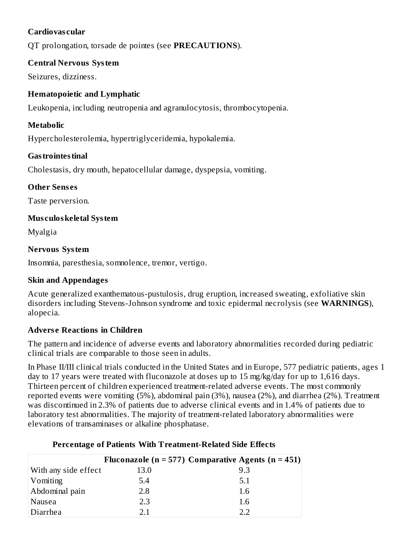#### **Cardiovas cular**

QT prolongation, torsade de pointes (see **PRECAUTIONS**).

#### **Central Nervous System**

Seizures, dizziness.

### **Hematopoietic and Lymphatic**

Leukopenia, including neutropenia and agranulocytosis, thrombocytopenia.

### **Metabolic**

Hypercholesterolemia, hypertriglyceridemia, hypokalemia.

### **Gastrointestinal**

Cholestasis, dry mouth, hepatocellular damage, dyspepsia, vomiting.

### **Other Sens es**

Taste perversion.

### **Mus culoskeletal System**

Myalgia

#### **Nervous System**

Insomnia, paresthesia, somnolence, tremor, vertigo.

### **Skin and Appendages**

Acute generalized exanthematous-pustulosis, drug eruption, increased sweating, exfoliative skin disorders including Stevens-Johnson syndrome and toxic epidermal necrolysis (see **WARNINGS**), alopecia.

### **Advers e Reactions in Children**

The pattern and incidence of adverse events and laboratory abnormalities recorded during pediatric clinical trials are comparable to those seen in adults.

In Phase II/III clinical trials conducted in the United States and in Europe, 577 pediatric patients, ages 1 day to 17 years were treated with fluconazole at doses up to 15 mg/kg/day for up to 1,616 days. Thirteen percent of children experienced treatment-related adverse events. The most commonly reported events were vomiting (5%), abdominal pain (3%), nausea (2%), and diarrhea (2%). Treatment was discontinued in 2.3% of patients due to adverse clinical events and in 1.4% of patients due to laboratory test abnormalities. The majority of treatment-related laboratory abnormalities were elevations of transaminases or alkaline phosphatase.

|                      |      | Fluconazole ( $n = 577$ ) Comparative Agents ( $n = 451$ ) |
|----------------------|------|------------------------------------------------------------|
| With any side effect | 13.0 | 9.3                                                        |
| Vomiting             | 5.4  | 5.1                                                        |
| Abdominal pain       | 2.8  | 1.6                                                        |
| Nausea               | 2.3  | 1.6                                                        |
| Diarrhea             | 21   | フフ                                                         |

### **Percentage of Patients With Treatment-Related Side Effects**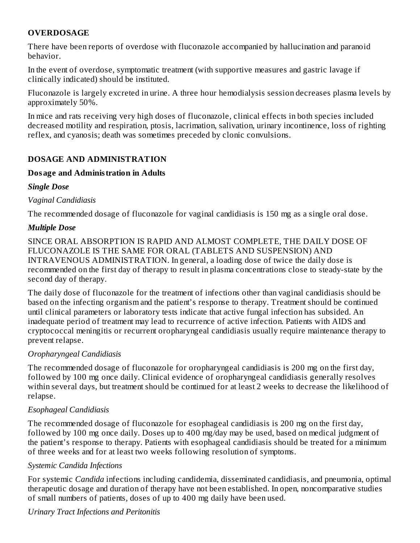### **OVERDOSAGE**

There have been reports of overdose with fluconazole accompanied by hallucination and paranoid behavior.

In the event of overdose, symptomatic treatment (with supportive measures and gastric lavage if clinically indicated) should be instituted.

Fluconazole is largely excreted in urine. A three hour hemodialysis session decreases plasma levels by approximately 50%.

In mice and rats receiving very high doses of fluconazole, clinical effects in both species included decreased motility and respiration, ptosis, lacrimation, salivation, urinary incontinence, loss of righting reflex, and cyanosis; death was sometimes preceded by clonic convulsions.

#### **DOSAGE AND ADMINISTRATION**

#### **Dosage and Administration in Adults**

#### *Single Dose*

#### *Vaginal Candidiasis*

The recommended dosage of fluconazole for vaginal candidiasis is 150 mg as a single oral dose.

#### *Multiple Dose*

SINCE ORAL ABSORPTION IS RAPID AND ALMOST COMPLETE, THE DAILY DOSE OF FLUCONAZOLE IS THE SAME FOR ORAL (TABLETS AND SUSPENSION) AND INTRAVENOUS ADMINISTRATION. In general, a loading dose of twice the daily dose is recommended on the first day of therapy to result in plasma concentrations close to steady-state by the second day of therapy.

The daily dose of fluconazole for the treatment of infections other than vaginal candidiasis should be based on the infecting organism and the patient's response to therapy. Treatment should be continued until clinical parameters or laboratory tests indicate that active fungal infection has subsided. An inadequate period of treatment may lead to recurrence of active infection. Patients with AIDS and cryptococcal meningitis or recurrent oropharyngeal candidiasis usually require maintenance therapy to prevent relapse.

### *Oropharyngeal Candidiasis*

The recommended dosage of fluconazole for oropharyngeal candidiasis is 200 mg on the first day, followed by 100 mg once daily. Clinical evidence of oropharyngeal candidiasis generally resolves within several days, but treatment should be continued for at least 2 weeks to decrease the likelihood of relapse.

### *Esophageal Candidiasis*

The recommended dosage of fluconazole for esophageal candidiasis is 200 mg on the first day, followed by 100 mg once daily. Doses up to 400 mg/day may be used, based on medical judgment of the patient's response to therapy. Patients with esophageal candidiasis should be treated for a minimum of three weeks and for at least two weeks following resolution of symptoms.

### *Systemic Candida Infections*

For systemic *Candida* infections including candidemia, disseminated candidiasis, and pneumonia, optimal therapeutic dosage and duration of therapy have not been established. In open, noncomparative studies of small numbers of patients, doses of up to 400 mg daily have been used.

#### *Urinary Tract Infections and Peritonitis*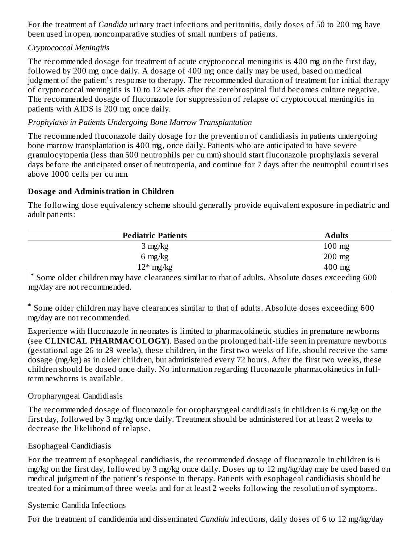For the treatment of *Candida* urinary tract infections and peritonitis, daily doses of 50 to 200 mg have been used in open, noncomparative studies of small numbers of patients.

#### *Cryptococcal Meningitis*

The recommended dosage for treatment of acute cryptococcal meningitis is 400 mg on the first day, followed by 200 mg once daily. A dosage of 400 mg once daily may be used, based on medical judgment of the patient's response to therapy. The recommended duration of treatment for initial therapy of cryptococcal meningitis is 10 to 12 weeks after the cerebrospinal fluid becomes culture negative. The recommended dosage of fluconazole for suppression of relapse of cryptococcal meningitis in patients with AIDS is 200 mg once daily.

#### *Prophylaxis in Patients Undergoing Bone Marrow Transplantation*

The recommended fluconazole daily dosage for the prevention of candidiasis in patients undergoing bone marrow transplantation is 400 mg, once daily. Patients who are anticipated to have severe granulocytopenia (less than 500 neutrophils per cu mm) should start fluconazole prophylaxis several days before the anticipated onset of neutropenia, and continue for 7 days after the neutrophil count rises above 1000 cells per cu mm.

#### **Dosage and Administration in Children**

The following dose equivalency scheme should generally provide equivalent exposure in pediatric and adult patients:

| <b>Pediatric Patients</b>                                                                                     | <b>Adults</b>    |
|---------------------------------------------------------------------------------------------------------------|------------------|
| $3 \text{ mg/kg}$                                                                                             | $100$ mg         |
| 6 mg/kg                                                                                                       | $200$ mg         |
| $12*$ mg/kg                                                                                                   | $400 \text{ mg}$ |
| $\frac{1}{2}$ Some older children may have clearances similar to that of adults. Absolute doses exceeding 600 |                  |

mg/day are not recommended.

Some older children may have clearances similar to that of adults. Absolute doses exceeding 600 \*mg/day are not recommended.

Experience with fluconazole in neonates is limited to pharmacokinetic studies in premature newborns (see **CLINICAL PHARMACOLOGY**). Based on the prolonged half-life seen in premature newborns (gestational age 26 to 29 weeks), these children, in the first two weeks of life, should receive the same dosage (mg/kg) as in older children, but administered every 72 hours. After the first two weeks, these children should be dosed once daily. No information regarding fluconazole pharmacokinetics in fullterm newborns is available.

#### Oropharyngeal Candidiasis

The recommended dosage of fluconazole for oropharyngeal candidiasis in children is 6 mg/kg on the first day, followed by 3 mg/kg once daily. Treatment should be administered for at least 2 weeks to decrease the likelihood of relapse.

### Esophageal Candidiasis

For the treatment of esophageal candidiasis, the recommended dosage of fluconazole in children is 6 mg/kg on the first day, followed by 3 mg/kg once daily. Doses up to 12 mg/kg/day may be used based on medical judgment of the patient's response to therapy. Patients with esophageal candidiasis should be treated for a minimum of three weeks and for at least 2 weeks following the resolution of symptoms.

### Systemic Candida Infections

For the treatment of candidemia and disseminated *Candida* infections, daily doses of 6 to 12 mg/kg/day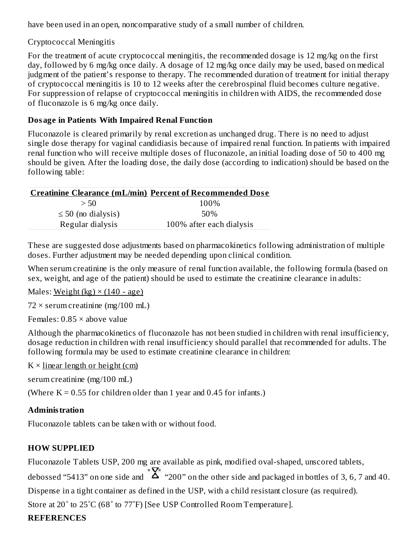have been used in an open, noncomparative study of a small number of children.

#### Cryptococcal Meningitis

For the treatment of acute cryptococcal meningitis, the recommended dosage is 12 mg/kg on the first day, followed by 6 mg/kg once daily. A dosage of 12 mg/kg once daily may be used, based on medical judgment of the patient's response to therapy. The recommended duration of treatment for initial therapy of cryptococcal meningitis is 10 to 12 weeks after the cerebrospinal fluid becomes culture negative. For suppression of relapse of cryptococcal meningitis in children with AIDS, the recommended dose of fluconazole is 6 mg/kg once daily.

### **Dosage in Patients With Impaired Renal Function**

Fluconazole is cleared primarily by renal excretion as unchanged drug. There is no need to adjust single dose therapy for vaginal candidiasis because of impaired renal function. In patients with impaired renal function who will receive multiple doses of fluconazole, an initial loading dose of 50 to 400 mg should be given. After the loading dose, the daily dose (according to indication) should be based on the following table:

|                         | <b>Creatinine Clearance (mL/min) Percent of Recommended Dose</b> |
|-------------------------|------------------------------------------------------------------|
| > 50                    | 100\%                                                            |
| $\leq$ 50 (no dialysis) | 50%                                                              |
| Regular dialysis        | 100% after each dialysis                                         |

These are suggested dose adjustments based on pharmacokinetics following administration of multiple doses. Further adjustment may be needed depending upon clinical condition.

When serum creatinine is the only measure of renal function available, the following formula (based on sex, weight, and age of the patient) should be used to estimate the creatinine clearance in adults:

Males: Weight  $(kg) \times (140 - age)$ 

 $72 \times$  serum creatinine (mg/100 mL)

Females: 0.85 × above value

Although the pharmacokinetics of fluconazole has not been studied in children with renal insufficiency, dosage reduction in children with renal insufficiency should parallel that recommended for adults. The following formula may be used to estimate creatinine clearance in children:

 $K \times$  linear length or height (cm)

serum creatinine (mg/100 mL)

(Where  $K = 0.55$  for children older than 1 year and 0.45 for infants.)

### **Administration**

Fluconazole tablets can be taken with or without food.

# **HOW SUPPLIED**

Fluconazole Tablets USP, 200 mg are available as pink, modified oval-shaped, unscored tablets, debossed "5413" on one side and  $\sum_{n=1}^{\infty}$  "200" on the other side and packaged in bottles of 3, 6, 7 and 40. Dispense in a tight container as defined in the USP, with a child resistant closure (as required). Store at 20˚ to 25˚C (68˚ to 77˚F) [See USP Controlled Room Temperature].

### **REFERENCES**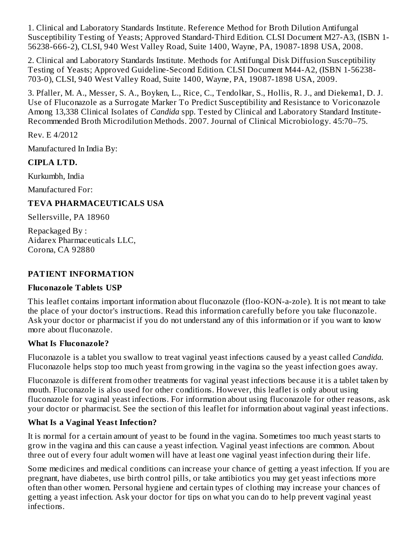1. Clinical and Laboratory Standards Institute. Reference Method for Broth Dilution Antifungal Susceptibility Testing of Yeasts; Approved Standard-Third Edition. CLSI Document M27-A3, (ISBN 1- 56238-666-2), CLSI, 940 West Valley Road, Suite 1400, Wayne, PA, 19087-1898 USA, 2008.

2. Clinical and Laboratory Standards Institute. Methods for Antifungal Disk Diffusion Susceptibility Testing of Yeasts; Approved Guideline-Second Edition. CLSI Document M44-A2, (ISBN 1-56238- 703-0), CLSI, 940 West Valley Road, Suite 1400, Wayne, PA, 19087-1898 USA, 2009.

3. Pfaller, M. A., Messer, S. A., Boyken, L., Rice, C., Tendolkar, S., Hollis, R. J., and Diekema1, D. J. Use of Fluconazole as a Surrogate Marker To Predict Susceptibility and Resistance to Voriconazole Among 13,338 Clinical Isolates of *Candida* spp. Tested by Clinical and Laboratory Standard Institute-Recommended Broth Microdilution Methods. 2007. Journal of Clinical Microbiology. 45:70–75.

Rev. E 4/2012

Manufactured In India By:

#### **CIPLA LTD.**

Kurkumbh, India

Manufactured For:

### **TEVA PHARMACEUTICALS USA**

Sellersville, PA 18960

Repackaged By : Aidarex Pharmaceuticals LLC, Corona, CA 92880

#### **PATIENT INFORMATION**

#### **Fluconazole Tablets USP**

This leaflet contains important information about fluconazole (floo-KON-a-zole). It is not meant to take the place of your doctor's instructions. Read this information carefully before you take fluconazole. Ask your doctor or pharmacist if you do not understand any of this information or if you want to know more about fluconazole.

#### **What Is Fluconazole?**

Fluconazole is a tablet you swallow to treat vaginal yeast infections caused by a yeast called *Candida.* Fluconazole helps stop too much yeast from growing in the vagina so the yeast infection goes away.

Fluconazole is different from other treatments for vaginal yeast infections because it is a tablet taken by mouth. Fluconazole is also used for other conditions. However, this leaflet is only about using fluconazole for vaginal yeast infections. For information about using fluconazole for other reasons, ask your doctor or pharmacist. See the section of this leaflet for information about vaginal yeast infections.

### **What Is a Vaginal Yeast Infection?**

It is normal for a certain amount of yeast to be found in the vagina. Sometimes too much yeast starts to grow in the vagina and this can cause a yeast infection. Vaginal yeast infections are common. About three out of every four adult women will have at least one vaginal yeast infection during their life.

Some medicines and medical conditions can increase your chance of getting a yeast infection. If you are pregnant, have diabetes, use birth control pills, or take antibiotics you may get yeast infections more often than other women. Personal hygiene and certain types of clothing may increase your chances of getting a yeast infection. Ask your doctor for tips on what you can do to help prevent vaginal yeast infections.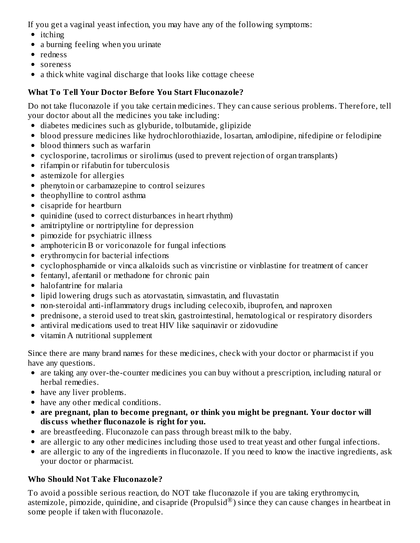If you get a vaginal yeast infection, you may have any of the following symptoms:

- itching
- a burning feeling when you urinate
- redness
- soreness
- a thick white vaginal discharge that looks like cottage cheese

# **What To Tell Your Doctor Before You Start Fluconazole?**

Do not take fluconazole if you take certain medicines. They can cause serious problems. Therefore, tell your doctor about all the medicines you take including:

- diabetes medicines such as glyburide, tolbutamide, glipizide
- blood pressure medicines like hydrochlorothiazide, losartan, amlodipine, nifedipine or felodipine
- blood thinners such as warfarin
- cyclosporine, tacrolimus or sirolimus (used to prevent rejection of organ transplants)
- rifampin or rifabutin for tuberculosis
- astemizole for allergies
- phenytoin or carbamazepine to control seizures
- theophylline to control asthma
- cisapride for heartburn
- quinidine (used to correct disturbances in heart rhythm)
- amitriptyline or nortriptyline for depression
- pimozide for psychiatric illness
- amphotericin B or voriconazole for fungal infections
- erythromycin for bacterial infections
- cyclophosphamide or vinca alkaloids such as vincristine or vinblastine for treatment of cancer
- fentanyl, afentanil or methadone for chronic pain
- halofantrine for malaria
- lipid lowering drugs such as atorvastatin, simvastatin, and fluvastatin
- non-steroidal anti-inflammatory drugs including celecoxib, ibuprofen, and naproxen
- prednisone, a steroid used to treat skin, gastrointestinal, hematological or respiratory disorders  $\bullet$
- antiviral medications used to treat HIV like saquinavir or zidovudine  $\bullet$
- vitamin A nutritional supplement  $\bullet$

Since there are many brand names for these medicines, check with your doctor or pharmacist if you have any questions.

- are taking any over-the-counter medicines you can buy without a prescription, including natural or herbal remedies.
- have any liver problems.
- have any other medical conditions.
- **are pregnant, plan to become pregnant, or think you might be pregnant. Your doctor will dis cuss whether fluconazole is right for you.**
- are breastfeeding. Fluconazole can pass through breast milk to the baby.
- are allergic to any other medicines including those used to treat yeast and other fungal infections.
- are allergic to any of the ingredients in fluconazole. If you need to know the inactive ingredients, ask your doctor or pharmacist.

# **Who Should Not Take Fluconazole?**

To avoid a possible serious reaction, do NOT take fluconazole if you are taking erythromycin, astemizole, pimozide, quinidine, and cisapride (Propulsid®) since they can cause changes in heartbeat in some people if taken with fluconazole.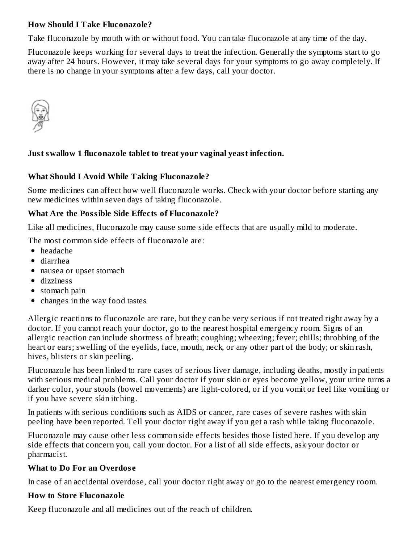#### **How Should I Take Fluconazole?**

Take fluconazole by mouth with or without food. You can take fluconazole at any time of the day.

Fluconazole keeps working for several days to treat the infection. Generally the symptoms start to go away after 24 hours. However, it may take several days for your symptoms to go away completely. If there is no change in your symptoms after a few days, call your doctor.



#### **Just swallow 1 fluconazole tablet to treat your vaginal yeast infection.**

#### **What Should I Avoid While Taking Fluconazole?**

Some medicines can affect how well fluconazole works. Check with your doctor before starting any new medicines within seven days of taking fluconazole.

#### **What Are the Possible Side Effects of Fluconazole?**

Like all medicines, fluconazole may cause some side effects that are usually mild to moderate.

The most common side effects of fluconazole are:

- headache
- diarrhea
- nausea or upset stomach
- dizziness
- stomach pain
- changes in the way food tastes

Allergic reactions to fluconazole are rare, but they can be very serious if not treated right away by a doctor. If you cannot reach your doctor, go to the nearest hospital emergency room. Signs of an allergic reaction can include shortness of breath; coughing; wheezing; fever; chills; throbbing of the heart or ears; swelling of the eyelids, face, mouth, neck, or any other part of the body; or skin rash, hives, blisters or skin peeling.

Fluconazole has been linked to rare cases of serious liver damage, including deaths, mostly in patients with serious medical problems. Call your doctor if your skin or eyes become yellow, your urine turns a darker color, your stools (bowel movements) are light-colored, or if you vomit or feel like vomiting or if you have severe skin itching.

In patients with serious conditions such as AIDS or cancer, rare cases of severe rashes with skin peeling have been reported. Tell your doctor right away if you get a rash while taking fluconazole.

Fluconazole may cause other less common side effects besides those listed here. If you develop any side effects that concern you, call your doctor. For a list of all side effects, ask your doctor or pharmacist.

#### **What to Do For an Overdos e**

In case of an accidental overdose, call your doctor right away or go to the nearest emergency room.

#### **How to Store Fluconazole**

Keep fluconazole and all medicines out of the reach of children.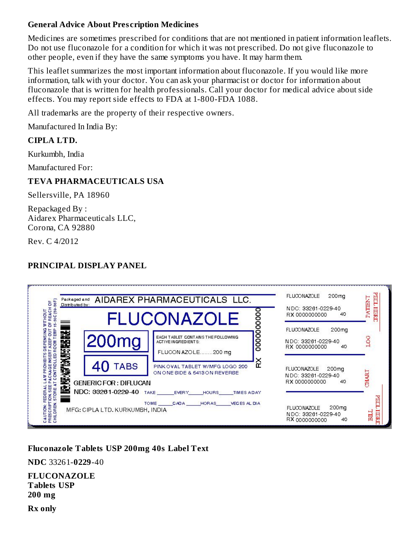#### **General Advice About Pres cription Medicines**

Medicines are sometimes prescribed for conditions that are not mentioned in patient information leaflets. Do not use fluconazole for a condition for which it was not prescribed. Do not give fluconazole to other people, even if they have the same symptoms you have. It may harm them.

This leaflet summarizes the most important information about fluconazole. If you would like more information, talk with your doctor. You can ask your pharmacist or doctor for information about fluconazole that is written for health professionals. Call your doctor for medical advice about side effects. You may report side effects to FDA at 1-800-FDA 1088.

All trademarks are the property of their respective owners.

Manufactured In India By:

#### **CIPLA LTD.**

Kurkumbh, India

Manufactured For:

### **TEVA PHARMACEUTICALS USA**

Sellersville, PA 18960

Repackaged By : Aidarex Pharmaceuticals LLC, Corona, CA 92880

Rev. C 4/2012

# **PRINCIPAL DISPLAY PANEL**

| <b>BeF</b><br>ŏ<br>Distributed by:<br>종<br>띭   | AIDAREX PHARMACEUTICALS LLC.                                              | NDC: 33261-0229-40<br>RX 0000000000                                                                                            | <b>ATTENT</b>                                                     |       |
|------------------------------------------------|---------------------------------------------------------------------------|--------------------------------------------------------------------------------------------------------------------------------|-------------------------------------------------------------------|-------|
| WITHOUT<br>Ά<br>酸酸<br>등<br>Ē<br>õ<br>DBP<br>D  | 200 <sub>mg</sub>                                                         | 00000<br><b>FLUCONAZOLE</b><br>00000<br>EACH TABLET CONTAINS THE FOLLOWING<br><b>ACTIVE INGREDIENTS:</b><br>FLUCON AZOLE200 mg | FLUOONAZOLE<br>200mg<br>NDC: 33261-0229-40<br>RX 0000000000<br>40 |       |
| 医发热                                            | <b>TABS</b><br>GENERIC FOR : DIFLUCAN                                     | č<br>PINK OVAL TABLET W/MFG LOGO 200<br>ON ONE SIDE & 5413 ON REVERSE                                                          | FLUOONAZOLE<br>200mg<br>NDC: 33261-0229-40<br>RX 0000000000<br>40 | THART |
| STORE<br>留品<br>RIPTION<br>DREN.<br>AUTION<br>E | NDC: 33261-0229-40 TAKE _______ EVERY_<br>MFG: CIPLA LTD. KURKUMBH, INDIA | HOURS<br>TIMES ADAY<br>TOME CADA<br>VECES AL DIA<br><b>HORAS</b>                                                               | 200mg<br>FLUOONAZOLE<br>NDC: 33261-0229-40<br>RX 0000000000<br>40 |       |

### **Fluconazole Tablets USP 200mg 40s Label Text**

**NDC** 33261-**0229**-40

**FLUCONAZOLE Tablets USP 200 mg Rx only**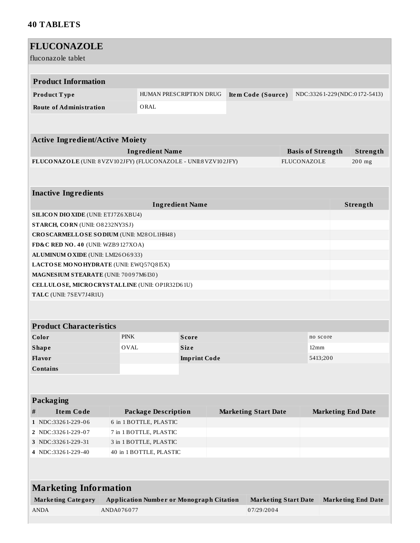#### **40 TABLETS**

| <b>FLUCONAZOLE</b>                                                         |                                                 |                         |                             |                             |                           |                              |
|----------------------------------------------------------------------------|-------------------------------------------------|-------------------------|-----------------------------|-----------------------------|---------------------------|------------------------------|
| fluconazole tablet                                                         |                                                 |                         |                             |                             |                           |                              |
|                                                                            |                                                 |                         |                             |                             |                           |                              |
| <b>Product Information</b>                                                 |                                                 |                         |                             |                             |                           |                              |
| Product Type                                                               |                                                 | HUMAN PRESCRIPTION DRUG | Item Code (Source)          |                             |                           | NDC:33261-229(NDC:0172-5413) |
| <b>Route of Administration</b>                                             | ORAL                                            |                         |                             |                             |                           |                              |
|                                                                            |                                                 |                         |                             |                             |                           |                              |
|                                                                            |                                                 |                         |                             |                             |                           |                              |
| <b>Active Ingredient/Active Moiety</b>                                     |                                                 |                         |                             |                             |                           |                              |
|                                                                            | <b>Ingredient Name</b>                          |                         |                             | <b>Basis of Strength</b>    |                           | Strength                     |
| FLUCONAZOLE (UNII: 8 VZV102JFY) (FLUCONAZOLE - UNII:8 VZV102JFY)           |                                                 |                         |                             | <b>FLUCONAZOLE</b>          |                           | 200 mg                       |
|                                                                            |                                                 |                         |                             |                             |                           |                              |
|                                                                            |                                                 |                         |                             |                             |                           |                              |
| <b>Inactive Ingredients</b>                                                |                                                 |                         |                             |                             |                           |                              |
|                                                                            |                                                 | <b>Ingredient Name</b>  |                             |                             |                           | Strength                     |
| <b>SILICON DIO XIDE (UNII: ETJ7Z6 XBU4)</b>                                |                                                 |                         |                             |                             |                           |                              |
| STARCH, CORN (UNII: O8232NY3SJ)                                            |                                                 |                         |                             |                             |                           |                              |
| CROSCARMELLOSE SODIUM (UNII: M28OL1HH48)                                   |                                                 |                         |                             |                             |                           |                              |
| FD&C RED NO. 40 (UNII: WZB9127XOA)                                         |                                                 |                         |                             |                             |                           |                              |
| ALUMINUM OXIDE (UNII: LMI26O6933)                                          |                                                 |                         |                             |                             |                           |                              |
| LACTOSE MONOHYDRATE (UNII: EWQ57Q8I5X)                                     |                                                 |                         |                             |                             |                           |                              |
| MAGNESIUM STEARATE (UNII: 70097M6I30)                                      |                                                 |                         |                             |                             |                           |                              |
| CELLULOSE, MICRO CRYSTALLINE (UNII: OP1R32D61U)<br>TALC (UNII: 7SEV7J4R1U) |                                                 |                         |                             |                             |                           |                              |
|                                                                            |                                                 |                         |                             |                             |                           |                              |
|                                                                            |                                                 |                         |                             |                             |                           |                              |
| <b>Product Characteristics</b>                                             |                                                 |                         |                             |                             |                           |                              |
| Color                                                                      | <b>PINK</b>                                     | <b>Score</b>            |                             |                             | no score                  |                              |
| <b>Shape</b>                                                               | <b>OVAL</b>                                     | <b>Size</b>             |                             | 12mm                        |                           |                              |
| Flavor                                                                     |                                                 | <b>Imprint Code</b>     |                             |                             | 5413;200                  |                              |
| <b>Contains</b>                                                            |                                                 |                         |                             |                             |                           |                              |
|                                                                            |                                                 |                         |                             |                             |                           |                              |
|                                                                            |                                                 |                         |                             |                             |                           |                              |
| Packaging                                                                  |                                                 |                         |                             |                             |                           |                              |
| <b>Item Code</b><br>#                                                      | <b>Package Description</b>                      |                         | <b>Marketing Start Date</b> |                             | <b>Marketing End Date</b> |                              |
| 1 NDC:33261-229-06                                                         | 6 in 1 BOTTLE, PLASTIC                          |                         |                             |                             |                           |                              |
| 2 NDC:33261-229-07                                                         | 7 in 1 BOTTLE, PLASTIC                          |                         |                             |                             |                           |                              |
| 3 NDC:33261-229-31                                                         | 3 in 1 BOTTLE, PLASTIC                          |                         |                             |                             |                           |                              |
| 4 NDC:33261-229-40                                                         | 40 in 1 BOTTLE, PLASTIC                         |                         |                             |                             |                           |                              |
|                                                                            |                                                 |                         |                             |                             |                           |                              |
|                                                                            |                                                 |                         |                             |                             |                           |                              |
| <b>Marketing Information</b>                                               |                                                 |                         |                             |                             |                           |                              |
| <b>Marketing Category</b>                                                  | <b>Application Number or Monograph Citation</b> |                         |                             | <b>Marketing Start Date</b> |                           | <b>Marketing End Date</b>    |
| <b>ANDA</b>                                                                | ANDA076077                                      |                         | 07/29/2004                  |                             |                           |                              |
|                                                                            |                                                 |                         |                             |                             |                           |                              |
|                                                                            |                                                 |                         |                             |                             |                           |                              |